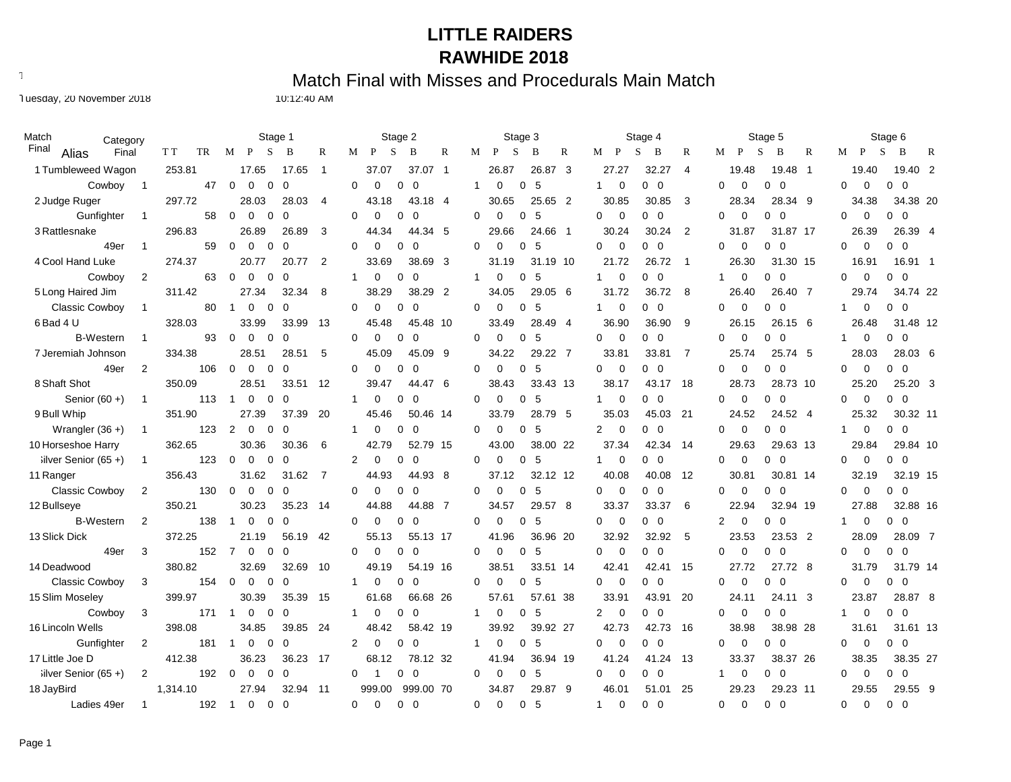Text497: Match Final with Misses and Procedurals Main Match

Tuesday, 20 November 2018 10:12:40 AM

| Match                   | Category       |           | Stage 1                                             |                         | Stage 2                                        | Stage 3                                 | Stage 4                                        | Stage 5                                          | Stage 6                               |
|-------------------------|----------------|-----------|-----------------------------------------------------|-------------------------|------------------------------------------------|-----------------------------------------|------------------------------------------------|--------------------------------------------------|---------------------------------------|
| Final<br>Alias          | Final          | T T<br>TR | S<br>M<br>P<br>B                                    | R                       | S<br>$\mathbb{R}$<br>P<br>B<br>М               | S<br>$\mathbb{R}$<br>P<br>B<br>М        | S<br>R<br>P<br>B<br>М                          | S<br>$\mathbb{R}$<br>P<br>B<br>М                 | S<br>B<br>M<br>P<br>R                 |
| 1 Tumbleweed Wagon      |                | 253.81    | 17.65                                               | 17.65<br>$\overline{1}$ | 37.07<br>37.07 1                               | 26.87<br>26.87<br>-3                    | 27.27<br>32.27<br>$\overline{4}$               | 19.48<br>19.48<br>- 1                            | 19.40<br>19.40 2                      |
| Cowboy                  | - 1            | 47        | $\mathbf 0$<br>$\Omega$<br>0<br>$\Omega$            |                         | $\Omega$<br>0<br>0<br>0                        | -5<br>0<br>0                            | $\mathbf 0$<br>$0\quad 0$                      | $\Omega$<br>$\mathbf 0$<br>$0\quad 0$            | $\Omega$<br>0<br>$0\quad 0$           |
| 2 Judge Ruger           |                | 297.72    | 28.03                                               | 28.03<br>$\overline{4}$ | 43.18<br>43.18 4                               | 30.65<br>25.65 2                        | 30.85<br>30.85<br>3                            | 28.34 9<br>28.34                                 | 34.38 20<br>34.38                     |
| Gunfighter              | $\overline{1}$ | 58        | $\Omega$<br>$\Omega$<br>$\Omega$<br>$\Omega$        |                         | $\Omega$<br>$\Omega$<br>$\Omega$<br>$\Omega$   | $\Omega$<br>$\Omega$<br>0 <sub>5</sub>  | $\Omega$<br>$\Omega$<br>$0\quad 0$             | $\Omega$<br>$\Omega$<br>$0\quad 0$               | $\Omega$<br>$0\quad 0$<br>$\Omega$    |
| 3 Rattlesnake           |                | 296.83    | 26.89                                               | 3<br>26.89              | 44.34<br>44.34 5                               | 29.66<br>24.66 1                        | 30.24<br>30.24<br>$\overline{2}$               | 31.87 17<br>31.87                                | 26.39 4<br>26.39                      |
| 49er                    | $\overline{1}$ | 59        | $\Omega$<br>$\Omega$<br>0<br>C                      |                         | $\Omega$<br>$\Omega$<br>$\Omega$<br>$\Omega$   | $\Omega$<br>$\Omega$<br>$\Omega$<br>-5  | $\Omega$<br>$\mathbf 0$<br>$0\quad 0$          | $\Omega$<br>$\Omega$<br>0<br>$\overline{0}$      | $\mathbf 0$<br>$0\quad 0$<br>$\Omega$ |
| 4 Cool Hand Luke        |                | 274.37    | 20.77                                               | 2<br>20.77              | 38.69 3<br>33.69                               | 31.19 10<br>31.19                       | 21.72<br>26.72<br>$\overline{\phantom{0}}$     | 31.30 15<br>26.30                                | 16.91 1<br>16.91                      |
| Cowboy                  | $\overline{2}$ | 63        | $\mathbf 0$<br>$\Omega$<br>0<br>C                   |                         | $\mathbf{1}$<br>0<br>0<br>$\overline{0}$       | 5<br>$\Omega$<br>0                      | $0\quad 0$<br>$\mathbf 0$                      | $\mathbf 0$<br>0<br>$\overline{0}$<br>1          | 0<br>$\mathbf 0$<br>$0\quad 0$        |
| 5 Long Haired Jim       |                | 311.42    | 27.34                                               | 32.34<br>8              | 38.29<br>38.29 2                               | 34.05<br>29.05 6                        | 31.72<br>36.72<br>-8                           | 26.40<br>26.40 7                                 | 34.74 22<br>29.74                     |
| <b>Classic Cowboy</b>   | $\overline{1}$ | 80        | $\overline{1}$<br>$\Omega$<br>$\Omega$<br>$\Omega$  |                         | $\Omega$<br>$\Omega$<br>$\Omega$<br>$\Omega$   | 5<br>$\Omega$<br>$\Omega$<br>$\Omega$   | $\mathbf 0$<br>$0\quad 0$                      | 0<br>$\Omega$<br>$\Omega$<br>$\overline{0}$      | $0\quad 0$<br>$\mathbf 0$<br>1        |
| 6 Bad 4 U               |                | 328.03    | 33.99                                               | 13<br>33.99             | 45.48<br>45.48 10                              | 28.49 4<br>33.49                        | 36.90<br>36.90<br>9                            | 26.15 6<br>26.15                                 | 26.48<br>31.48 12                     |
| <b>B-Western</b>        | $\overline{1}$ | 93        | 0<br>0<br>0<br>$\Omega$                             |                         | $\Omega$<br>0<br>$\Omega$<br>$\Omega$          | $\Omega$<br>0<br>-5<br>0                | $\overline{0}$<br>$0\quad 0$<br>0              | $\mathbf 0$<br>0<br>0<br>- 0                     | $0\quad 0$<br>$\mathbf 0$<br>1        |
| 7 Jeremiah Johnson      |                | 334.38    | 28.51                                               | 5<br>28.51              | 45.09 9<br>45.09                               | 34.22<br>29.22 7                        | 33.81<br>$\overline{7}$<br>33.81               | 25.74 5<br>25.74                                 | 28.03<br>28.03 6                      |
| 49er                    | $\overline{2}$ | 106       | $\mathbf 0$<br>$\mathbf 0$<br>0<br>$\sqrt{ }$       |                         | $\mathbf 0$<br>$\Omega$<br>0<br>$\mathbf 0$    | $\Omega$<br>0<br>5<br>$\Omega$          | $\mathbf 0$<br>$0\quad 0$<br>$\Omega$          | $\mathbf 0$<br>0<br>0<br>$\overline{\mathbf{0}}$ | $0\quad 0$<br>$\mathbf 0$<br>0        |
| 8 Shaft Shot            |                | 350.09    | 28.51                                               | 12<br>33.51             | 39.47<br>44.47 6                               | 38.43<br>33.43 13                       | 38.17<br>43.17<br>-18                          | 28.73<br>28.73 10                                | 25.20<br>25.20 3                      |
| Senior $(60 +)$         | $\overline{1}$ | 113       | 0<br>0<br>$\Omega$<br>$\overline{1}$                |                         | 0<br>0<br>$\Omega$<br>1                        | $\mathbf 0$<br>0<br>-5<br>0             | 0<br>$0\quad 0$<br>1                           | 0<br>$\mathbf 0$<br>$0\quad 0$                   | $\mathbf 0$<br>$0\quad 0$<br>0        |
| 9 Bull Whip             |                | 351.90    | 27.39                                               | 37.39<br>20             | 45.46<br>50.46 14                              | 33.79<br>28.79 5                        | 35.03<br>21<br>45.03                           | 24.52<br>24.52 4                                 | 25.32<br>30.32 11                     |
| Wrangler $(36 +)$       | $\overline{1}$ | 123       | $\overline{2}$<br>$\mathbf 0$<br>$\Omega$<br>0      |                         | 0<br>$\overline{0}$<br>0<br>1                  | $\mathbf 0$<br>5<br>$\Omega$<br>0       | $\mathbf 0$<br>$0\quad 0$<br>2                 | 0<br>$0\quad 0$<br>0                             | 0<br>$0\quad 0$<br>1                  |
| 10 Horseshoe Harry      |                | 362.65    | 30.36                                               | 30.36<br>6              | 42.79<br>52.79 15                              | 43.00<br>38.00 22                       | 37.34<br>42.34<br>-14                          | 29.63<br>29.63 13                                | 29.84<br>29.84 10                     |
| $i$ lver Senior (65+)   | $\overline{1}$ | 123       | $\Omega$<br>$\Omega$<br>0<br>$\Omega$               |                         | 2<br>0<br>$\Omega$<br>$\Omega$                 | $\Omega$<br>$\Omega$<br>5<br>$\Omega$   | $\overline{0}$<br>$0\quad 0$                   | $\mathbf 0$<br>$\Omega$<br>$0\quad 0$            | $\mathbf 0$<br>$0\quad 0$<br>$\Omega$ |
| 11 Ranger               |                | 356.43    | 31.62                                               | 7<br>31.62              | 44.93<br>44.93 8                               | 37.12<br>32.12 12                       | 40.08<br>40.08<br>12                           | 30.81<br>30.81 14                                | 32.19<br>32.19 15                     |
| <b>Classic Cowboy</b>   | $\overline{2}$ | 130       | 0<br>$\Omega$<br>0<br>$\Omega$                      |                         | $\Omega$<br>$\Omega$<br>0<br>$\Omega$          | $\Omega$<br>5<br>0<br>0                 | $\overline{0}$<br>$0\quad 0$<br>0              | $\mathbf 0$<br>$0\quad 0$<br>0                   | $\mathbf 0$<br>$0\quad 0$<br>0        |
| 12 Bullseye             |                | 350.21    | 30.23                                               | 35.23<br>14             | 44.88<br>44.88 7                               | 34.57<br>29.57 8                        | 33.37<br>6<br>33.37                            | 22.94<br>32.94 19                                | 27.88<br>32.88 16                     |
| <b>B-Western</b>        | $\overline{2}$ | 138       | $\mathbf 0$<br>0<br>$\Omega$<br>-1                  |                         | $\Omega$<br>$\Omega$<br>0<br>∩                 | $\Omega$<br>0<br>-5<br>0                | $\mathbf 0$<br>$0\quad 0$<br>0                 | 2<br>0<br>$0\quad 0$                             | $0\quad 0$<br>0                       |
| 13 Slick Dick           |                | 372.25    | 21.19                                               | 56.19<br>42             | 55.13<br>55.13 17                              | 41.96<br>36.96 20                       | 32.92<br>32.92<br>-5                           | 23.53<br>23.53 2                                 | 28.09<br>28.09 7                      |
| 49er                    | 3              | 152       | $\overline{7}$<br>$\Omega$<br>$\Omega$<br>$\Omega$  |                         | $\Omega$<br>$\Omega$<br>0<br>$\Omega$          | $\Omega$<br>$\Omega$<br>-5<br>$\Omega$  | $\overline{0}$<br>$\Omega$<br>$0\quad 0$       | 0<br>$\Omega$<br>0<br>$\overline{0}$             | $\mathbf 0$<br>$0\quad 0$<br>0        |
| 14 Deadwood             |                | 380.82    | 32.69                                               | 32.69<br>10             | 49.19<br>54.19 16                              | 38.51<br>33.51 14                       | 42.41<br>42.41<br>-15                          | 27.72<br>27.72 8                                 | 31.79<br>31.79 14                     |
| <b>Classic Cowboy</b>   | 3              | 154       | $\mathbf 0$<br>$\Omega$<br>0<br>$\Omega$            |                         | $\Omega$<br>$\Omega$<br>$\Omega$               | -5<br>0<br>$\Omega$<br>0                | $\overline{0}$<br>$0\quad 0$<br>0              | $\mathbf 0$<br>0<br>$\overline{0}$<br>0          | 0<br>$\mathbf 0$<br>$0\quad 0$        |
| 15 Slim Moseley         |                | 399.97    | 30.39                                               | 35.39<br>15             | 61.68<br>66.68 26                              | 57.61<br>57.61 38                       | 33.91<br>43.91<br>20                           | 24.11<br>24.11 3                                 | 23.87<br>28.87 8                      |
| Cowboy                  | 3              | 171       | $\overline{1}$<br>0<br>$\mathbf 0$<br>$\Omega$      |                         | $\Omega$<br>0<br>$\overline{0}$                | $\Omega$<br>0<br>-5                     | $\overline{0}$<br>$\overline{2}$<br>$0\quad 0$ | $\mathbf 0$<br>0<br>0<br>$\overline{0}$          | $\mathbf 0$<br>$0\quad 0$             |
| 16 Lincoln Wells        |                | 398.08    | 34.85                                               | 39.85<br>-24            | 48.42<br>58.42 19                              | 39.92 27<br>39.92                       | 42.73<br>42.73<br>-16                          | 38.98<br>38.98 28                                | 31.61 13<br>31.61                     |
| Gunfighter              | 2              | 181       | $\mathbf 0$<br>$\Omega$<br>$\mathbf{1}$<br>$\Omega$ |                         | 2<br>$\Omega$<br>$\Omega$<br>$\Omega$          | $\Omega$<br>$\Omega$<br>5               | $\overline{0}$<br>$\Omega$<br>$0\quad 0$       | $\mathbf 0$<br>$\Omega$<br>$0\quad 0$            | $\mathbf 0$<br>$0\quad 0$<br>$\Omega$ |
| 17 Little Joe D         |                | 412.38    | 36.23                                               | 36.23<br>17             | 68.12<br>78.12 32                              | 36.94 19<br>41.94                       | 41.24<br>41.24<br>13                           | 38.37 26<br>33.37                                | 38.35<br>38.35 27                     |
| $i$ ilver Senior (65 +) | 2              | 192       | $\mathbf 0$<br>$\mathbf 0$<br>0<br>$\Omega$         |                         | $\overline{\mathbf{0}}$<br>$\Omega$<br>-1<br>0 | $\mathbf 0$<br>-5<br>0<br>0             | 0<br>$\mathbf 0$<br>$0\quad 0$                 | 0<br>$0\quad 0$<br>1.                            | $0\quad 0$<br>$\Omega$<br>$\mathbf 0$ |
| 18 JayBird              |                | 1,314.10  | 27.94                                               | 32.94<br>11             | 999.00<br>999.00 70                            | 34.87<br>29.87<br>- 9                   | 46.01<br>51.01<br>25                           | 29.23<br>29.23 11                                | 29.55<br>29.55 9                      |
| Ladies 49er             | $\overline{1}$ | 192       | $\overline{1}$<br>$\Omega$<br>$\Omega$<br>$\Omega$  |                         | $\Omega$<br>$\Omega$<br>$0\quad 0$             | $\Omega$<br>$\Omega$<br>$\Omega$<br>- 5 | $\mathbf{1}$<br>$\Omega$<br>0 <sub>0</sub>     | $\Omega$<br>$\Omega$<br>0 <sub>0</sub>           | $\Omega$<br>$\Omega$<br>$0\quad 0$    |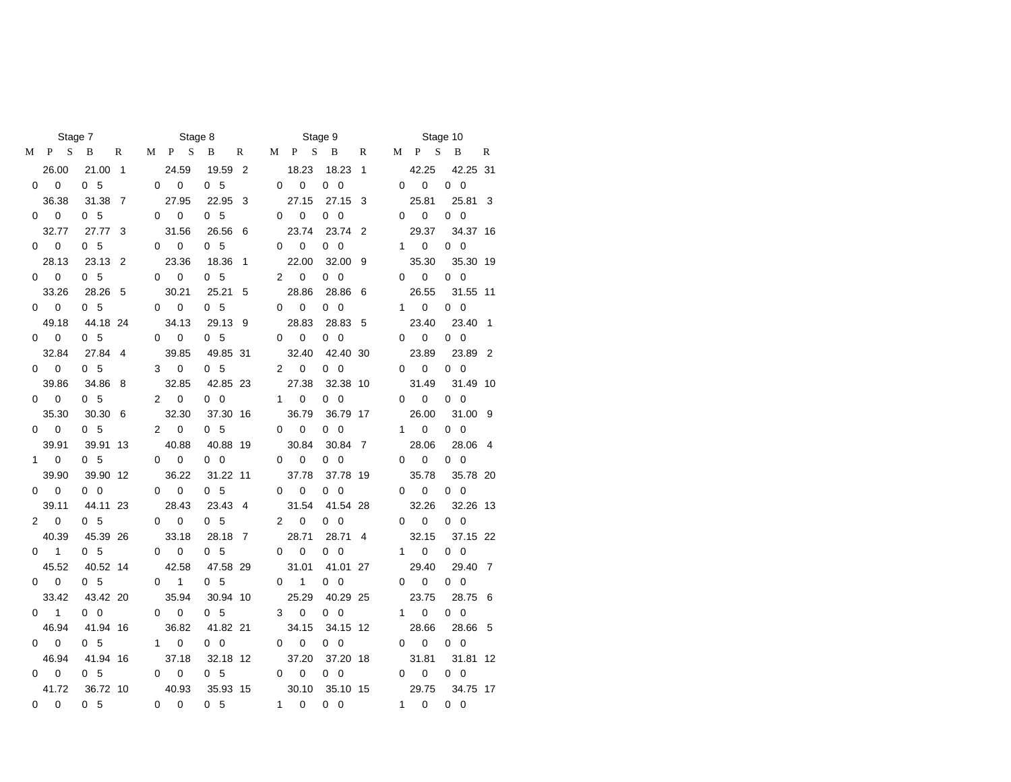|                      | Stage 7                   |                            |                |                      | Stage 8                  |                        |                |                      |                          | Stage 9                |                |              |                          | Stage 10              |                |
|----------------------|---------------------------|----------------------------|----------------|----------------------|--------------------------|------------------------|----------------|----------------------|--------------------------|------------------------|----------------|--------------|--------------------------|-----------------------|----------------|
| М                    | S<br>P                    | B                          | R              | M                    | P S                      | B                      | R              | М                    | S<br>P                   | <sup>B</sup>           | R              | M            | $\mathbf{P}$<br>S        | B                     | R              |
|                      | 26.00                     | 21.00                      | $\overline{1}$ |                      | 24.59                    | 19.59                  | $\overline{2}$ |                      | 18.23                    | 18.23                  | $\overline{1}$ |              | 42.25                    | 42.25 31              |                |
|                      | $\mathbf 0$<br>0          | 0 <sub>5</sub>             |                | 0                    | $\mathbf 0$              | 0 <sub>5</sub>         |                | $\Omega$             | $\mathbf 0$              | $0\quad 0$             |                | $\Omega$     | $\mathbf 0$              | $0\quad 0$            |                |
|                      | 36.38                     | 31.38                      | $\overline{7}$ |                      | 27.95                    | 22.95                  | -3             |                      | 27.15                    | 27.15                  | 3              |              | 25.81                    | 25.81                 | - 3            |
| 0                    | $\pmb{0}$                 | 0 <sub>5</sub>             |                | $\Omega$             | $\pmb{0}$                | 0 <sub>5</sub>         |                | $\Omega$             | $\mathsf 0$              | $0\quad 0$             |                | 0            | $\pmb{0}$                | $0\quad 0$            |                |
|                      | 32.77                     | 27.77                      | 3              |                      | 31.56                    | 26.56                  | - 6            |                      | 23.74                    | 23.74 2                |                |              | 29.37                    | 34.37 16              |                |
|                      | $\mathbf 0$<br>$\Omega$   | 0 <sub>5</sub>             |                |                      | $\mathbf{0}$<br>$\Omega$ | 0 <sub>5</sub>         |                |                      | $\mathbf{0}$<br>$\Omega$ | $0\quad 0$             |                |              | $1 \quad$<br>$\mathbf 0$ | $0\quad 0$            |                |
|                      | 28.13                     | 23.13                      | $\overline{2}$ |                      | 23.36                    | 18.36                  | $\overline{1}$ |                      | 22.00                    | 32.00 9                |                |              | 35.30                    | 35.30 19              |                |
| 0                    | $\overline{\phantom{0}}$  | 0 <sub>5</sub>             |                |                      | $\mathbf 0$<br>$\Omega$  | 0 <sub>5</sub>         |                | $\overline{2}$       | $\mathbf 0$              | $0\quad 0$             |                | 0            | $\mathbf 0$              | $0\quad 0$            |                |
|                      | 33.26                     | 28.26                      | 5              |                      | 30.21                    | 25.21                  | 5              |                      | 28.86                    | 28.86                  | - 6            |              | 26.55                    | 31.55 11              |                |
|                      | $0\qquad 0$               | 0 <sub>5</sub>             |                |                      | $0\qquad 0$              | 0 <sub>5</sub>         |                |                      | $\mathbf 0$<br>$\Omega$  | $0\quad 0$             |                |              | $1 \quad$<br>$\mathbf 0$ | $0\quad 0$            |                |
|                      | 49.18                     | 44.18 24                   |                |                      | 34.13                    | 29.13 9                |                |                      | 28.83                    | 28.83 5                |                |              | 23.40                    | 23.40                 | $\overline{1}$ |
|                      | $\mathbf 0$<br>0          | 0 <sub>5</sub>             |                | $\Omega$             | $\mathbf 0$              | 0 <sub>5</sub>         |                | $\Omega$             | $\mathbf 0$              | $0\quad 0$             |                | 0            | $\mathbf 0$              | $0\quad 0$            |                |
|                      | 32.84                     | 27.84                      | $\overline{4}$ |                      | 39.85                    | 49.85 31               |                |                      | 32.40                    | 42.40 30               |                |              | 23.89                    | 23.89 2               |                |
|                      | $0\qquad 0$               | 0 <sub>5</sub>             |                | 3                    | $\mathbf 0$              | 0 <sub>5</sub>         |                | $\mathbf{2}^{\circ}$ | $\mathbf 0$              | $0\quad 0$             |                | 0            | $\mathbf 0$              | $0\quad 0$            |                |
|                      | 39.86                     | 34.86                      | 8              |                      | 32.85                    | 42.85 23               |                |                      | 27.38                    | 32.38 10               |                |              | 31.49                    | 31.49 10              |                |
|                      | $\pmb{0}$<br>$\mathbf{0}$ | 0 <sub>5</sub>             |                | $\overline{2}$       | $\mathbf 0$              | $0\quad 0$             |                |                      | $\pmb{0}$<br>$1 \quad$   | $0\quad 0$             |                | 0            | $\pmb{0}$                | $0\quad 0$            |                |
|                      | 35.30                     | 30.30                      | 6              |                      | 32.30                    | 37.30 16               |                |                      | 36.79                    | 36.79 17               |                |              | 26.00                    | 31.00 9               |                |
|                      | $\mathbf 0$<br>$\Omega$   | 0 <sub>5</sub>             |                | $\mathbf{2}^{\circ}$ | $\mathbf 0$              | 0 <sub>5</sub>         |                | $\Omega$             | $\mathbf 0$              | $0\quad 0$             |                | $\mathbf{1}$ | $\mathbf 0$              | $0\quad 0$            |                |
|                      | 39.91                     | 39.91 13                   |                |                      | 40.88                    | 40.88 19               |                |                      | 30.84                    | 30.84 7                |                |              | 28.06                    | 28.06 4               |                |
|                      | $\mathbf 0$<br>$1 \quad$  | 0 <sub>5</sub>             |                | $\Omega$             | $\mathbf 0$              | $0\quad 0$             |                | $\Omega$             | $\mathbf 0$              | $0\quad 0$             |                | 0            | $\mathbf 0$              | $0\quad 0$            |                |
|                      | 39.90                     | 39.90 12                   |                |                      | 36.22                    | 31.22 11               |                |                      | 37.78                    | 37.78 19               |                |              | 35.78                    | 35.78 20              |                |
| 0                    | $\mathbf 0$               | $0\quad 0$                 |                | 0                    | $\mathbf 0$              | 0 <sub>5</sub>         |                | 0                    | $\pmb{0}$                | $0\quad 0$             |                | 0            | 0                        | $0\quad 0$            |                |
|                      | 39.11                     | 44.11 23                   |                |                      | 28.43                    | 23.43 4                |                |                      | 31.54                    | 41.54 28               |                |              | 32.26                    | 32.26 13              |                |
| $\mathbf{2}^{\circ}$ | $\mathbf 0$               | 0 <sub>5</sub>             |                | $\Omega$             | $\mathbf 0$              | 0 <sub>5</sub>         |                | $\overline{2}$       | $\mathbf 0$              | $0\quad 0$             |                | 0            | 0                        | $0\quad 0$            |                |
|                      | 40.39                     | 45.39 26                   |                |                      | 33.18                    | 28.18 7                |                |                      | 28.71                    | 28.71 4                |                |              | 32.15                    | 37.15 22              |                |
| 0                    | $\mathbf{1}$              | 0 <sub>5</sub>             |                | $\Omega$             | $\mathbf 0$              | 0 <sub>5</sub>         |                | $\Omega$             | $\mathbf 0$              | $0\quad 0$             |                | 1.           | 0                        | $0\quad 0$            |                |
|                      | 45.52                     | 40.52 14                   |                |                      | 42.58                    | 47.58 29               |                |                      | 31.01                    | 41.01 27               |                |              | 29.40                    | 29.40 7               |                |
| 0                    | 0                         | 0 <sub>5</sub>             |                | 0                    | 1                        | 0 <sub>5</sub>         |                | 0                    | $\mathbf{1}$             | $0\quad 0$             |                | 0            | 0                        | $0\quad 0$            |                |
|                      | 33.42<br>$\mathbf{1}$     | 43.42 20                   |                |                      | 35.94                    | 30.94 10               |                |                      | 25.29                    | 40.29 25               |                |              | 23.75                    | 28.75 6               |                |
| 0                    |                           | $0\quad 0$                 |                | 0                    | $\mathbf 0$              | 0 <sub>5</sub>         |                | 3                    | $\mathbf 0$              | $0\quad 0$             |                | $\mathbf{1}$ | 0                        | $0\quad 0$            |                |
| 0                    | 46.94<br>$\mathbf 0$      | 41.94 16<br>0 <sub>5</sub> |                | $\mathbf{1}$         | 36.82<br>$\mathbf 0$     | 41.82 21<br>$0\quad 0$ |                |                      | 34.15                    | 34.15 12<br>$0\quad 0$ |                |              | 28.66<br>0               | 28.66 5<br>$0\quad 0$ |                |
|                      | 46.94                     | 41.94 16                   |                |                      | 37.18                    | 32.18 12               |                | 0                    | 0<br>37.20               | 37.20 18               |                | 0            | 31.81                    | 31.81 12              |                |
| 0                    | 0                         | 0 <sub>5</sub>             |                | 0                    | 0                        | 0 <sub>5</sub>         |                | 0                    | 0                        | $0\quad 0$             |                | 0            | 0                        | $0\quad 0$            |                |
|                      | 41.72                     | 36.72 10                   |                |                      | 40.93                    | 35.93 15               |                |                      | 30.10                    | 35.10 15               |                |              | 29.75                    | 34.75 17              |                |
| 0                    | $\Omega$                  | 0 <sub>5</sub>             |                | $\Omega$             | $\Omega$                 | 0 <sub>5</sub>         |                | $\mathbf{1}$         | $\Omega$                 | $0\quad 0$             |                | 1            | $\Omega$                 | $0\quad 0$            |                |
|                      |                           |                            |                |                      |                          |                        |                |                      |                          |                        |                |              |                          |                       |                |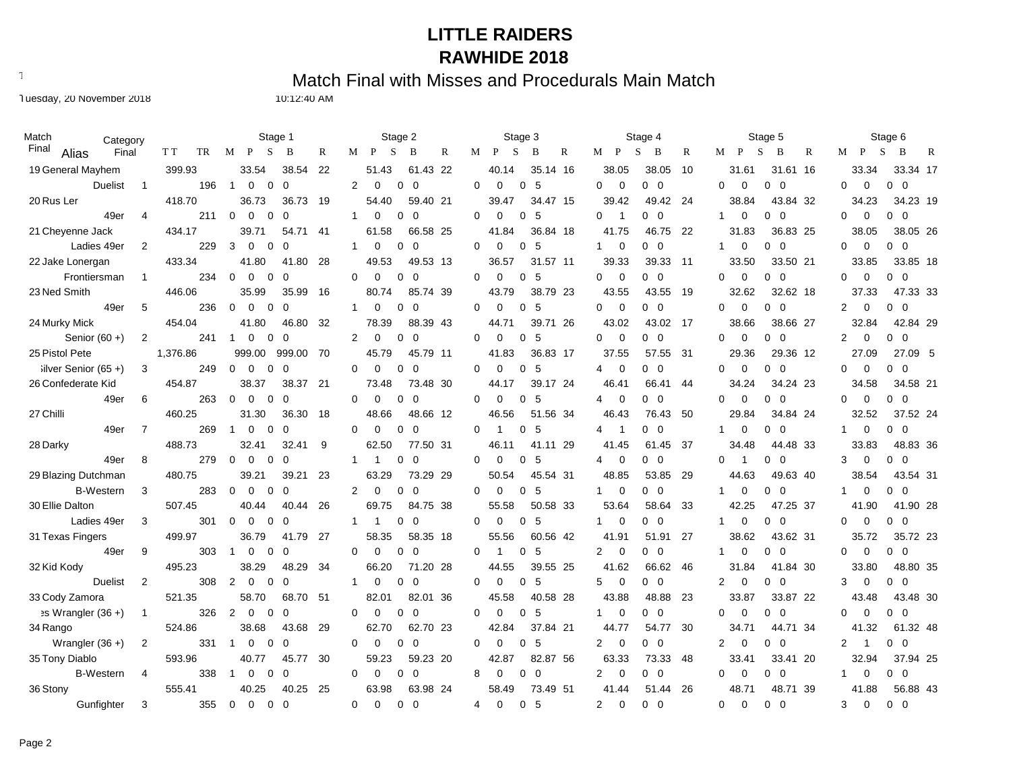Text497: Match Final with Misses and Procedurals Main Match

Tuesday, 20 November 2018 10:12:40 AM

| Match<br>Category             |                |           | Stage 1                                               |              | Stage 2                                        | Stage 3                                               | Stage 4                      | Stage 5                                                 | Stage 6                                     |
|-------------------------------|----------------|-----------|-------------------------------------------------------|--------------|------------------------------------------------|-------------------------------------------------------|------------------------------|---------------------------------------------------------|---------------------------------------------|
| Final<br>Alias<br>Final       |                | T T<br>TR | S<br>B<br>М<br>P                                      | $\mathbb{R}$ | P<br>S<br>B<br>$\mathbb{R}$<br>М               | S<br>R<br>M<br>P<br>B<br>M                            | P<br>S<br>B<br>$\mathbb{R}$  | S<br>$\mathbb{R}$<br>P<br>B<br>М                        | S<br>B<br>М<br>P<br>R                       |
| 19 General Mayhem             |                | 399.93    | 33.54<br>38.54                                        | 22           | 51.43<br>61.43 22                              | 40.14<br>35.14 16                                     | 38.05<br>38.05<br>10         | 31.61<br>31.61 16                                       | 33.34<br>33.34 17                           |
| <b>Duelist</b>                | $\overline{1}$ | 196       | $\overline{1}$<br>0<br>$\mathbf 0$<br>$\mathbf 0$     |              | $\overline{2}$<br>$\Omega$<br>0<br>$\mathbf 0$ | $\Omega$<br>5<br>$\Omega$<br>0<br>$\mathbf 0$         | $\overline{0}$<br>$0\quad 0$ | $\Omega$<br>$\mathbf 0$<br>$0\quad 0$                   | $\Omega$<br>$\mathbf 0$<br>$0\quad 0$       |
| 20 Rus Ler                    |                | 418.70    | 36.73<br>36.73                                        | 19           | 59.40 21<br>54.40                              | 34.47 15<br>39.47                                     | 39.42<br>49.42 24            | 38.84<br>43.84 32                                       | 34.23<br>34.23 19                           |
| 49er                          | $\overline{4}$ | 211       | $\Omega$<br>$\Omega$<br>$\Omega$<br>$\Omega$          |              | $\mathbf{1}$<br>$\Omega$<br>0<br>$\Omega$      | $\Omega$<br>$\Omega$<br>$\Omega$<br>5<br>$\Omega$     | $0\quad 0$<br>$\overline{1}$ | $\Omega$<br>$0\quad 0$<br>$\overline{1}$                | $\Omega$<br>$\Omega$<br>$0\quad 0$          |
| 21 Cheyenne Jack              |                | 434.17    | 39.71<br>54.71                                        | 41           | 66.58 25<br>61.58                              | 36.84 18<br>41.84                                     | 46.75<br>41.75<br>- 22       | 31.83<br>36.83 25                                       | 38.05 26<br>38.05                           |
| Ladies 49er                   | 2              | 229       | 3<br>$\Omega$<br>$\Omega$<br>$\Omega$                 |              | $\Omega$<br>$\Omega$<br>$\mathbf{1}$<br>0      | $\Omega$<br>$\Omega$<br>5<br>$\Omega$<br>$\mathbf{1}$ | $\mathbf 0$<br>$0\quad 0$    | $\Omega$<br>$0\quad 0$<br>1                             | $\mathbf 0$<br>$0\quad 0$<br>$\Omega$       |
| 22 Jake Lonergan              |                | 433.34    | 41.80<br>41.80                                        | 28           | 49.53<br>49.53 13                              | 31.57 11<br>36.57                                     | 39.33<br>39.33 11            | 33.50 21<br>33.50                                       | 33.85<br>33.85 18                           |
| Frontiersman                  | $\mathbf{1}$   | 234       | $\mathbf 0$<br>$\mathbf 0$<br>$\Omega$<br>$\mathbf 0$ |              | $\Omega$<br>$\mathbf 0$<br>0<br>$\mathbf 0$    | $\Omega$<br>$\mathbf 0$<br>5<br>0<br>0                | $\mathbf 0$<br>$0\quad 0$    | $0\quad 0$<br>$\Omega$<br>$\mathbf 0$                   | $\Omega$<br>$\mathbf 0$<br>$0\quad 0$       |
| 23 Ned Smith                  |                | 446.06    | 35.99<br>35.99                                        | 16           | 80.74<br>85.74 39                              | 43.79<br>38.79 23                                     | 43.55<br>43.55 19            | 32.62<br>32.62 18                                       | 47.33 33<br>37.33                           |
| 49er                          | 5              | 236       | $\Omega$<br>$\Omega$<br>$\Omega$<br>$\Omega$          |              | $\mathbf{1}$<br>$\Omega$<br>0<br>$\Omega$      | 5<br>0<br>$\Omega$<br>$\Omega$<br>0                   | $\overline{0}$<br>$0\quad 0$ | $\Omega$<br>$\Omega$<br>$0\quad 0$                      | 2<br>$\mathbf 0$<br>$0\quad 0$              |
| 24 Murky Mick                 |                | 454.04    | 41.80<br>46.80                                        | 32           | 88.39 43<br>78.39                              | 39.71 26<br>44.71                                     | 43.02<br>43.02 17            | 38.66 27<br>38.66                                       | 32.84<br>42.84 29                           |
| Senior $(60 +)$               | 2              | 241       | $\mathbf 0$<br>0<br>$\mathbf 0$<br>$\overline{1}$     |              | $\overline{2}$<br>0<br>0<br>0                  | 5<br>0<br>0<br>$\Omega$<br>0                          | $\mathbf 0$<br>$0\quad 0$    | $0\quad 0$<br>0<br>0                                    | $0\quad 0$<br>$\overline{2}$<br>$\mathbf 0$ |
| 25 Pistol Pete                |                | 1,376.86  | 999.00<br>999.00                                      | - 70         | 45.79<br>45.79 11                              | 36.83 17<br>41.83                                     | 37.55<br>57.55 31            | 29.36 12<br>29.36                                       | 27.09 5<br>27.09                            |
| Silver Senior (65+)           | 3              | 249       | $\mathbf 0$<br>$\mathbf 0$<br>$\Omega$<br>$\mathbf 0$ |              | $\mathbf 0$<br>0<br>$\Omega$<br>0              | $\Omega$<br>5<br>0<br>0<br>4                          | $0\quad 0$<br>$\mathbf 0$    | $\mathbf 0$<br>$0\quad 0$<br>$\Omega$                   | $\mathbf 0$<br>$0\quad 0$<br>0              |
| 26 Confederate Kid            |                | 454.87    | 38.37 21<br>38.37                                     |              | 73.48 30<br>73.48                              | 39.17 24<br>44.17                                     | 46.41<br>66.41<br>44         | 34.24 23<br>34.24                                       | 34.58 21<br>34.58                           |
| 49er                          | 6              | 263       | $\mathbf 0$<br>$\mathbf 0$<br>0<br>$\mathbf 0$        |              | $\Omega$<br>$\Omega$<br>0<br>$\Omega$          | 5<br>0<br>$\Omega$<br>$\Omega$<br>4                   | $\mathbf 0$<br>$0\quad 0$    | $\mathbf 0$<br>$0\quad 0$<br>$\Omega$                   | $\mathbf 0$<br>$0\quad 0$<br>0              |
| 27 Chilli                     |                | 460.25    | 31.30<br>36.30                                        | 18           | 48.66<br>48.66 12                              | 51.56 34<br>46.56                                     | 46.43<br>50<br>76.43         | 29.84<br>34.84 24                                       | 32.52<br>37.52 24                           |
| 49er                          | $\overline{7}$ | 269       | $\mathbf 0$<br>0<br>$\overline{1}$<br>$\Omega$        |              | 0<br>$\Omega$<br>0<br>0                        | 0<br>5<br>0<br>4<br>-1                                | $0\quad 0$<br>-1             | 0<br>$0\quad 0$<br>1                                    | 0<br>$0\quad 0$<br>$\mathbf{1}$             |
| 28 Darky                      |                | 488.73    | 32.41<br>32.41                                        | 9            | 62.50<br>77.50 31                              | 46.11<br>41.11 29                                     | 41.45<br>61.45<br>- 37       | 34.48<br>44.48 33                                       | 48.83 36<br>33.83                           |
| 49er                          | 8              | 279       | $\Omega$<br>$\Omega$<br>$\Omega$<br>$\Omega$          |              | 1<br>0<br>$\Omega$<br>$\mathbf{1}$             | 5<br>0<br>$\Omega$<br>$\Omega$<br>4                   | $\mathbf 0$<br>$0\quad 0$    | $0\quad 0$<br>$\Omega$<br>$\overline{1}$                | $\mathbf 0$<br>$0\quad 0$<br>3              |
| 29 Blazing Dutchman           |                | 480.75    | 39.21<br>39.21                                        | 23           | 63.29<br>73.29 29                              | 50.54<br>45.54 31                                     | 48.85<br>53.85<br>- 29       | 44.63<br>49.63 40                                       | 43.54 31<br>38.54                           |
| <b>B-Western</b>              | 3              | 283       | $\mathbf 0$<br>$\Omega$<br>0<br>$\Omega$              |              | $\overline{2}$<br>$\Omega$<br>0<br>$\Omega$    | 5<br>0<br>$\Omega$<br>0<br>1                          | $\mathbf 0$<br>$0\quad 0$    | 0<br>$0\quad 0$                                         | $\mathbf 0$<br>$0\quad 0$<br>1              |
| 30 Ellie Dalton               |                | 507.45    | 40.44<br>40.44                                        | 26           | 69.75<br>84.75 38                              | 55.58<br>50.58 33                                     | 53.64<br>58.64<br>33         | 42.25<br>47.25 37                                       | 41.90 28<br>41.90                           |
| Ladies 49er                   | 3              | 301       | $\mathbf 0$<br>$\mathbf 0$<br>$\Omega$<br>$\Omega$    |              | 0<br>$\mathbf 0$<br>1<br>$\mathbf{1}$          | 0<br>$\Omega$<br>0<br>5<br>1                          | $\mathbf 0$<br>$0\quad 0$    | $\mathbf 0$<br>$0\quad 0$                               | $\mathbf 0$<br>$0\quad 0$<br>0              |
| 31 Texas Fingers              |                | 499.97    | 41.79 27<br>36.79                                     |              | 58.35<br>58.35 18                              | 55.56<br>60.56 42                                     | 41.91<br>51.91<br>-27        | 38.62<br>43.62 31                                       | 35.72<br>35.72 23                           |
| 49er                          | 9              | 303       | $\Omega$<br>$\Omega$<br>$\Omega$<br>$\overline{1}$    |              | 0<br>$\Omega$<br>0<br>$\Omega$                 | 0<br>0<br>-5<br>$\overline{2}$<br>-1                  | $\overline{0}$<br>$0\quad 0$ | $\mathbf 0$<br>$0\quad 0$                               | $\mathbf 0$<br>$0\quad 0$<br>0              |
| 32 Kid Kody                   |                | 495.23    | 38.29<br>48.29                                        | 34           | 66.20<br>71.20 28                              | 44.55<br>39.55 25                                     | 41.62<br>66.62 46            | 31.84<br>41.84 30                                       | 48.80 35<br>33.80                           |
| <b>Duelist</b>                | 2              | 308       | 2<br>0<br>$\Omega$<br>$\Omega$                        |              | 1<br>0<br>0<br>0                               | 0<br>5<br>5<br>$\Omega$<br>$\Omega$                   | $\mathbf 0$<br>$0\quad 0$    | $\mathbf 0$<br>$0\quad 0$<br>2                          | 3<br>$\mathbf 0$<br>$0\quad 0$              |
| 33 Cody Zamora                |                | 521.35    | 58.70<br>68.70 51                                     |              | 82.01<br>82.01 36                              | 40.58 28<br>45.58                                     | 43.88<br>48.88<br>23         | 33.87<br>33.87 22                                       | 43.48 30<br>43.48                           |
| $\Rightarrow$ Wrangler (36 +) | $\mathbf{1}$   | 326       | 2<br>$\mathbf 0$<br>$\Omega$<br>$\Omega$              |              | 0<br>0<br>0<br>0                               | 5<br>0<br>0<br>0<br>$\mathbf{1}$                      | $\mathbf 0$<br>$0\quad 0$    | $\mathbf 0$<br>0<br>$\overline{\mathbf{0}}$<br>$\Omega$ | $\mathbf 0$<br>$0\quad 0$<br>0              |
| 34 Rango                      |                | 524.86    | 38.68<br>43.68                                        | 29           | 62.70<br>62.70 23                              | 37.84 21<br>42.84                                     | 44.77<br>30<br>54.77         | 34.71<br>44.71 34                                       | 41.32<br>61.32 48                           |
| Wrangler $(36 +)$             | 2              | 331       | 0<br>$\Omega$<br>$\Omega$<br>-1                       |              | $\mathbf 0$<br>$\Omega$<br>0<br>$\mathbf 0$    | 5<br>0<br>$\Omega$<br>$\overline{2}$<br>$\Omega$      | $\mathbf 0$<br>$0\quad 0$    | $\overline{0}$<br>$\overline{2}$<br>$0\quad 0$          | 2<br>$0\quad 0$<br>$\overline{1}$           |
| 35 Tony Diablo                |                | 593.96    | 40.77<br>45.77                                        | 30           | 59.23<br>59.23 20                              | 42.87<br>82.87 56                                     | 63.33<br>73.33<br>-48        | 33.41<br>33.41 20                                       | 37.94 25<br>32.94                           |
| <b>B-Western</b>              | 4              | 338       | 0<br>$\Omega$<br>0<br>-1                              |              | 0<br>0<br>0<br>$\mathbf 0$                     | 8<br>0<br>0<br>$\mathbf 0$<br>$\overline{2}$          | $\mathbf 0$<br>$0\quad 0$    | $\mathbf 0$<br>$0\quad 0$<br>$\Omega$                   | $0\quad 0$<br>$\mathbf 0$<br>$\mathbf 1$    |
| 36 Stony                      |                | 555.41    | 40.25<br>40.25                                        | 25           | 63.98<br>63.98 24                              | 58.49<br>73.49 51                                     | 41.44<br>51.44<br>26         | 48.71<br>48.71 39                                       | 41.88<br>56.88 43                           |
| Gunfighter                    | 3              | 355       | $\Omega$<br>$\Omega$<br>$\Omega$<br>$\Omega$          |              | $\Omega$<br>$\Omega$<br>0<br>$\Omega$          | -5<br>$\overline{2}$<br>4<br>$\Omega$<br>$\Omega$     | $\Omega$<br>$0\quad 0$       | $\Omega$<br>$\Omega$<br>$0\quad 0$                      | 3<br>$\Omega$<br>$0\quad 0$                 |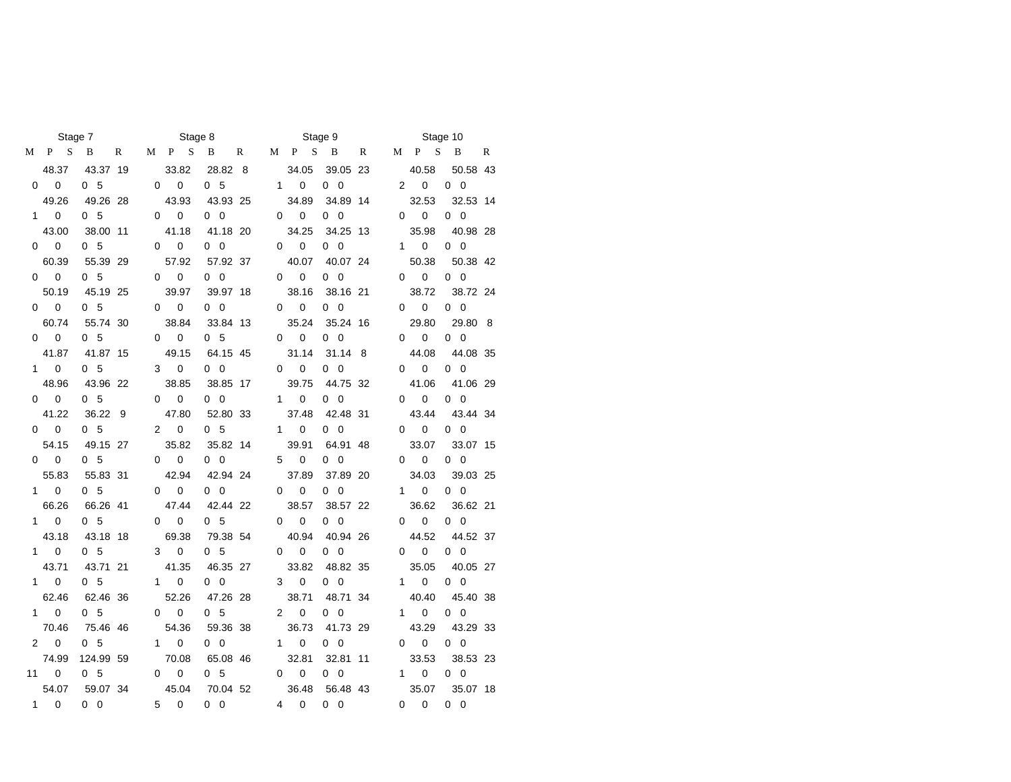|              | Stage 7                     |                |              |                | Stage 8     |                |              |                |                          | Stage 9    |   |                |                   | Stage 10   |              |
|--------------|-----------------------------|----------------|--------------|----------------|-------------|----------------|--------------|----------------|--------------------------|------------|---|----------------|-------------------|------------|--------------|
| М            | P.<br>S                     | B              | $\mathbb{R}$ | М              | P S         | B              | $\mathbb{R}$ | М              | S<br>P                   | B          | R | М              | $\mathbf{P}$<br>S | B          | $\mathbb{R}$ |
|              | 48.37                       | 43.37 19       |              |                | 33.82       | 28.82 8        |              |                | 34.05                    | 39.05 23   |   |                | 40.58             | 50.58 43   |              |
|              | $0\qquad 0$                 | 0 <sub>5</sub> |              | 0              | $\mathbf 0$ | 0 <sub>5</sub> |              |                | $1 \quad$<br>$\mathbf 0$ | $0\quad 0$ |   | $\overline{2}$ | $\mathbf 0$       | $0\quad 0$ |              |
|              | 49.26                       | 49.26 28       |              |                | 43.93       | 43.93 25       |              |                | 34.89                    | 34.89 14   |   |                | 32.53             | 32.53 14   |              |
| $\mathbf{1}$ | $\Omega$                    | 0 <sub>5</sub> |              | 0              | $\mathbf 0$ | $0\quad 0$     |              | 0              | $\mathbf{0}$             | $0\quad 0$ |   | 0              | $\mathbf 0$       | $0\quad 0$ |              |
|              | 43.00                       | 38.00 11       |              |                | 41.18       | 41.18 20       |              |                | 34.25                    | 34.25 13   |   |                | 35.98             | 40.98 28   |              |
| 0            | $\overline{\mathbf{0}}$     | 0 <sub>5</sub> |              | 0              | $\mathbf 0$ | $0\quad 0$     |              | $\Omega$       | $\mathbf 0$              | $0\quad 0$ |   | 1              | $\mathbf 0$       | $0\quad 0$ |              |
|              | 60.39                       | 55.39 29       |              |                | 57.92       | 57.92 37       |              |                | 40.07                    | 40.07 24   |   |                | 50.38             | 50.38 42   |              |
| 0            | $\overline{\mathbf{0}}$     | 0 <sub>5</sub> |              | 0              | $\mathbf 0$ | $0\quad 0$     |              | $\Omega$       | 0                        | $0\quad 0$ |   | 0              | $\mathbf 0$       | $0\quad 0$ |              |
|              | 50.19                       | 45.19 25       |              |                | 39.97       | 39.97 18       |              |                | 38.16                    | 38.16 21   |   |                | 38.72             | 38.72 24   |              |
| 0            | $\overline{\mathbf{0}}$     | 0 <sub>5</sub> |              | $\Omega$       | $\mathbf 0$ | $0\quad 0$     |              | $\Omega$       | $\mathbf 0$              | $0\quad 0$ |   | 0              | $\mathbf 0$       | $0\quad 0$ |              |
|              | 60.74                       | 55.74 30       |              |                | 38.84       | 33.84 13       |              |                | 35.24                    | 35.24 16   |   |                | 29.80             | 29.80 8    |              |
| 0            | $\mathbf 0$                 | 0 <sub>5</sub> |              | $\Omega$       | $\mathbf 0$ | 0 <sub>5</sub> |              | $\Omega$       | 0                        | $0\quad 0$ |   | 0              | 0                 | $0\quad 0$ |              |
|              | 41.87                       | 41.87 15       |              |                | 49.15       | 64.15 45       |              |                | 31.14                    | 31.14 8    |   |                | 44.08             | 44.08 35   |              |
| $\mathbf{1}$ | $\pmb{0}$                   | 0 <sub>5</sub> |              | 3              | $\pmb{0}$   | $0\quad 0$     |              | 0              | 0                        | $0\quad 0$ |   | 0              | 0                 | $0\quad 0$ |              |
|              | 48.96                       | 43.96 22       |              |                | 38.85       | 38.85 17       |              |                | 39.75                    | 44.75 32   |   |                | 41.06             | 41.06 29   |              |
| 0            | $\mathbf 0$                 | 0 <sub>5</sub> |              | $\Omega$       | $\mathbf 0$ | $0\quad 0$     |              | $\mathbf{1}$   | $\mathbf 0$              | $0\quad 0$ |   | 0              | 0                 | $0\quad 0$ |              |
|              | 41.22                       | 36.22          | - 9          |                | 47.80       | 52.80 33       |              |                | 37.48                    | 42.48 31   |   |                | 43.44             | 43.44 34   |              |
| 0            | $\mathbf 0$                 | 0 <sub>5</sub> |              | $\overline{2}$ | $\mathbf 0$ | 0 <sub>5</sub> |              | $\mathbf{1}$   | 0                        | $0\quad 0$ |   | 0              | 0                 | $0\quad 0$ |              |
|              | 54.15                       | 49.15 27       |              |                | 35.82       | 35.82 14       |              |                | 39.91                    | 64.91 48   |   |                | 33.07             | 33.07 15   |              |
| 0            | $\mathbf 0$                 | 0 <sub>5</sub> |              | 0              | $\mathbf 0$ | $0\quad 0$     |              | 5              | $\mathbf 0$              | $0\quad 0$ |   | 0              | $\pmb{0}$         | $0\quad 0$ |              |
|              | 55.83                       | 55.83 31       |              |                | 42.94       | 42.94 24       |              |                | 37.89                    | 37.89 20   |   |                | 34.03             | 39.03 25   |              |
|              | $\mathbf 0$<br>$1 \quad$    | 0 <sub>5</sub> |              | 0              | $\mathbf 0$ | $0\quad 0$     |              | 0              | $\mathbf 0$              | $0\quad 0$ |   | 1              | 0                 | $0\quad 0$ |              |
|              | 66.26                       | 66.26 41       |              |                | 47.44       | 42.44 22       |              |                | 38.57                    | 38.57 22   |   |                | 36.62             | 36.62 21   |              |
|              | 0<br>$1 \quad$              | 0 <sub>5</sub> |              | 0              | 0           | 0 <sub>5</sub> |              | 0              | 0                        | $0\quad 0$ |   | 0              | 0                 | $0\quad 0$ |              |
|              | 43.18                       | 43.18 18       |              |                | 69.38       | 79.38 54       |              |                | 40.94                    | 40.94 26   |   |                | 44.52             | 44.52 37   |              |
| 1            | $\mathbf 0$                 | 0 <sub>5</sub> |              | 3              | 0           | 0 <sub>5</sub> |              | $\Omega$       | $\mathbf 0$              | $0\quad 0$ |   | 0              | 0                 | $0\quad 0$ |              |
|              | 43.71                       | 43.71 21       |              |                | 41.35       | 46.35 27       |              |                | 33.82                    | 48.82 35   |   |                | 35.05             | 40.05 27   |              |
|              | 0<br>$1 \quad$              | 0 <sub>5</sub> |              | 1.             | 0           | $0\quad 0$     |              | 3              | 0                        | $0\quad 0$ |   | 1              | 0                 | $0\quad 0$ |              |
|              | 62.46                       | 62.46 36       |              |                | 52.26       | 47.26 28       |              |                | 38.71                    | 48.71 34   |   |                | 40.40             | 45.40 38   |              |
|              | $\overline{0}$<br>$1 \quad$ | 0 <sub>5</sub> |              | 0              | 0           | 0 <sub>5</sub> |              | $\overline{2}$ | 0                        | $0\quad 0$ |   | 1              | 0                 | $0\quad 0$ |              |
|              | 70.46                       | 75.46 46       |              |                | 54.36       | 59.36 38       |              |                | 36.73                    | 41.73 29   |   |                | 43.29             | 43.29 33   |              |
| 2            | $\mathbf 0$                 | 0 <sub>5</sub> |              | $\mathbf{1}$   | $\mathbf 0$ | $0\quad 0$     |              | $\mathbf{1}$   | $\mathbf 0$              | $0\quad 0$ |   | 0              | 0                 | $0\quad 0$ |              |
|              | 74.99                       | 124.99 59      |              |                | 70.08       | 65.08 46       |              |                | 32.81                    | 32.81 11   |   |                | 33.53             | 38.53 23   |              |
| 11           | 0                           | 0 <sub>5</sub> |              | 0              | 0           | 0 <sub>5</sub> |              | 0              | 0                        | $0\quad 0$ |   | 1              | 0                 | $0\quad 0$ |              |
|              | 54.07                       | 59.07 34       |              |                | 45.04       | 70.04 52       |              |                | 36.48                    | 56.48 43   |   |                | 35.07             | 35.07 18   |              |
| $\mathbf{1}$ | $\Omega$                    | $0\quad 0$     |              | 5              | $\Omega$    | $0\quad 0$     |              | 4              | $\Omega$                 | $0\quad 0$ |   | 0              | $\Omega$          | $0\quad 0$ |              |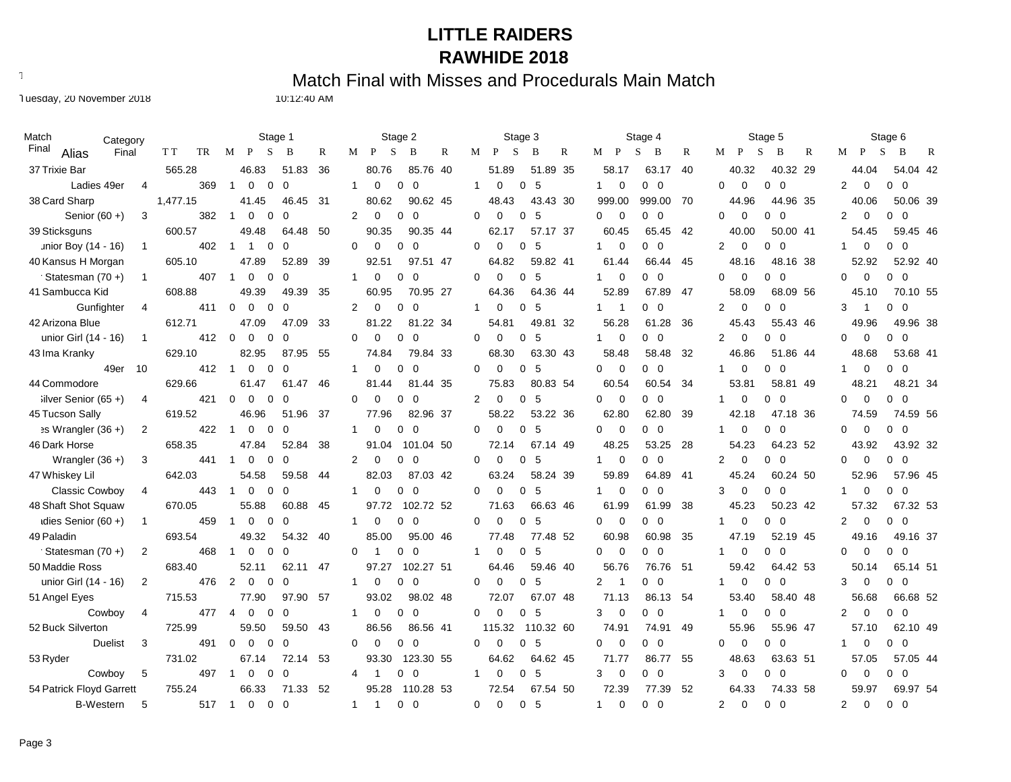Text497: Match Final with Misses and Procedurals Main Match

Tuesday, 20 November 2018 10:12:40 AM

| Match<br>Category             |                |           |                | Stage 1                    |             |     |                |                | Stage 2              |              |              | Stage 3              |                |              |                                           | Stage 4              |     |                |              | Stage 5                                 |   |                               | Stage 6             |  |
|-------------------------------|----------------|-----------|----------------|----------------------------|-------------|-----|----------------|----------------|----------------------|--------------|--------------|----------------------|----------------|--------------|-------------------------------------------|----------------------|-----|----------------|--------------|-----------------------------------------|---|-------------------------------|---------------------|--|
| Final<br>Alias<br>Final       |                | TR<br>T T | М              | P<br>S                     | B           | R   | M              | P<br>S         | B                    | $\mathbb{R}$ | M            | $\mathbf{P}$<br>S    | B              | $\mathbb{R}$ | М<br>$\mathbf{P}$                         | S<br>B               | R   | M              | $\mathbf{P}$ | S<br>B                                  | R | M<br>P                        | S<br>B<br>R         |  |
| 37 Trixie Bar                 |                | 565.28    |                | 46.83                      | 51.83       | 36  |                | 80.76          | 85.76 40             |              |              | 51.89                | 51.89 35       |              | 58.17                                     | 63.17                | 40  |                | 40.32        | 40.32 29                                |   | 44.04                         | 54.04 42            |  |
| Ladies 49er                   | 4              | 369       | $\overline{1}$ | $\Omega$<br>$\Omega$       | $\mathbf 0$ |     | $\mathbf{1}$   | $\mathbf 0$    | 0<br>$\mathbf 0$     |              | $\mathbf{1}$ | $\mathbf 0$<br>0     | 5              |              | $\mathbf 0$<br>$\mathbf{1}$               | $0\quad 0$           |     | $\Omega$       | $\mathbf 0$  | $\mathbf{0}$<br>$\overline{\mathbf{0}}$ |   | $\overline{2}$<br>$\mathbf 0$ | $0\quad 0$          |  |
| 38 Card Sharp                 |                | 1,477.15  |                | 41.45                      | 46.45       | 31  |                | 80.62          | 90.62 45             |              |              | 48.43                | 43.43 30       |              | 999.00                                    | 999.00               | 70  |                | 44.96        | 44.96 35                                |   | 40.06                         | 50.06 39            |  |
| Senior $(60 +)$               | 3              | 382       | $\overline{1}$ | $\Omega$<br>0              | $\Omega$    |     | 2              | $\Omega$       | $\Omega$<br>$\Omega$ |              | $\Omega$     | $\Omega$<br>$\Omega$ | 5              |              | $\Omega$<br>$\overline{0}$                | $0\quad 0$           |     | $\Omega$       | $\Omega$     | $\Omega$<br>$\overline{0}$              |   | $\overline{2}$<br>$\mathbf 0$ | $0\quad 0$          |  |
| 39 Sticksguns                 |                | 600.57    |                | 49.48                      | 64.48       | 50  |                | 90.35          | 90.35 44             |              |              | 62.17                | 57.17 37       |              | 60.45                                     | 65.45                | 42  |                | 40.00        | 50.00 41                                |   | 54.45                         | 59.45 46            |  |
| unior Boy (14 - 16)           | $\mathbf{1}$   | 402       | $\overline{1}$ | $\overline{1}$<br>$\Omega$ | $\mathbf 0$ |     | $\Omega$       | $\Omega$       | 0<br>$\Omega$        |              | $\Omega$     | $\Omega$<br>0        | 5              |              | 0<br>1                                    | $0\quad 0$           |     | $\overline{2}$ | $\mathbf 0$  | $\Omega$<br>$\Omega$                    |   | 0<br>-1                       | 0<br>$\overline{0}$ |  |
| 40 Kansus H Morgan            |                | 605.10    |                | 47.89                      | 52.89       | 39  |                | 92.51          | 97.51 47             |              |              | 64.82                | 59.82 41       |              | 61.44                                     | 66.44                | 45  |                | 48.16        | 48.16 38                                |   | 52.92                         | 52.92 40            |  |
| Statesman (70+)               | $\mathbf{1}$   | 407       | $\overline{1}$ | $\Omega$<br>$\Omega$       | $\mathbf 0$ |     | $\mathbf{1}$   | $\Omega$       | $\Omega$<br>0        |              | 0            | $\Omega$<br>$\Omega$ | 5              |              | 1<br>0                                    | $0\quad 0$           |     | $\Omega$       | $\Omega$     | $\Omega$<br>$\overline{0}$              |   | $\Omega$<br>$\mathbf 0$       | $0\quad 0$          |  |
| 41 Sambucca Kid               |                | 608.88    |                | 49.39                      | 49.39       | 35  |                | 60.95          | 70.95 27             |              |              | 64.36                | 64.36 44       |              | 52.89                                     | 67.89                | 47  |                | 58.09        | 68.09 56                                |   | 45.10                         | 70.10 55            |  |
| Gunfighter                    | 4              | 411       | $\mathbf 0$    | $\Omega$<br>0              | $\mathbf 0$ |     | $\overline{2}$ | 0              | 0<br>0               |              | $\mathbf{1}$ | 0<br>0               | 5              |              | $\mathbf{1}$<br>-1                        | 0 0                  |     | $\overline{2}$ | $\mathbf 0$  | 0<br>- 0                                |   | 3<br>$\mathbf 1$              | $0\quad 0$          |  |
| 42 Arizona Blue               |                | 612.71    |                | 47.09                      | 47.09       | 33  |                | 81.22          | .22 34<br>81         |              |              | 54.81                | 49.81 32       |              | 56.28                                     | 61.28                | 36  |                | 45.43        | 55.43 46                                |   | 49.96                         | 49.96 38            |  |
| unior Girl (14 - 16)          | $\mathbf{1}$   | 412       | $\Omega$       | $\Omega$<br>$\Omega$       | $\mathbf 0$ |     | $\Omega$       | $\Omega$       | $\Omega$<br>$\Omega$ |              | $\Omega$     | $\Omega$<br>$\Omega$ | 5              |              | $\mathbf 0$<br>1                          | $0\quad 0$           |     | $\overline{2}$ | $\Omega$     | $\Omega$<br>$\Omega$                    |   | $\Omega$<br>$\Omega$          | 0 <sub>0</sub>      |  |
| 43 Ima Kranky                 |                | 629.10    |                | 82.95                      | 87<br>.95   | 55  |                | 74.84          | 79.84 33             |              |              | 68.30                | 63.30 43       |              | 58.48                                     | 58.48                | 32  |                | 46.86        | 51.86 44                                |   | 48.68                         | 53.68 41            |  |
| 49er                          | 10             | 412       | $\overline{1}$ | $\Omega$<br>0              | $\mathbf 0$ |     | $\mathbf{1}$   | 0              | 0<br>0               |              | 0            | $\mathbf 0$<br>0     | 5              |              | 0<br>$\mathbf 0$                          | $0\quad 0$           |     | $\mathbf{1}$   | $\mathbf 0$  | 0<br>$\overline{0}$                     |   | 0<br>-1                       | $0\quad 0$          |  |
| 44 Commodore                  |                | 629.66    |                | 61.47                      | 61.47       | 46  |                | 81.44          | 81.44 35             |              |              | 75.83                | 80.83 54       |              | 60.54                                     | 60.54                | 34  |                | 53.81        | 58.81 49                                |   | 48.21                         | 48.21 34            |  |
| $i$ lver Senior (65 +)        | 4              | 421       | $\mathbf 0$    | $\mathbf 0$<br>0           | $\mathbf 0$ |     | $\Omega$       | 0              | 0<br>0               |              | 2            | 0<br>0               | 5              |              | $\mathbf 0$<br>0                          | $0\quad 0$           |     | 1              | 0            | $0\quad 0$                              |   | 0<br>$\Omega$                 | $0\quad 0$          |  |
| 45 Tucson Sally               |                | 619.52    |                | 46.96                      | 51.96       | 37  |                | 77.96          | 82.96 37             |              |              | 58.22                | 53.22 36       |              | 62.80                                     | 62.80                | 39  |                | 42.18        | 47.18 36                                |   | 74.59                         | 74.59 56            |  |
| $\Rightarrow$ Wrangler (36 +) | 2              | 422       | -1             | $\Omega$<br>$\Omega$       | $\mathbf 0$ |     | $\mathbf{1}$   | $\Omega$       | $\Omega$<br>$\Omega$ |              | 0            | $\Omega$<br>0        | 5              |              | 0<br>$\overline{0}$                       | $0\quad 0$           |     | $\mathbf{1}$   | $\mathbf 0$  | 0<br>$\Omega$                           |   | $\mathbf 0$<br>$\Omega$       | $0\quad 0$          |  |
| 46 Dark Horse                 |                | 658.35    |                | 47.84                      | 52.84       | 38  |                | 91.04          | 101.04 50            |              |              | 72.14                | 67.14 49       |              | 48.25                                     | 53.25                | 28  |                | 54.23        | 64.23 52                                |   | 43.92                         | 43.92 32            |  |
| Wrangler $(36 +)$             | 3              | 441       | -1             | 0<br>0                     | 0           |     | 2              | 0              | 0<br>$\Omega$        |              | 0            | 0<br>0               | 5              |              | 0<br>1                                    | 0 0                  |     | 2              | $\mathbf 0$  | $0\quad 0$                              |   | 0<br>$\Omega$                 | $0\quad 0$          |  |
| 47 Whiskey Lil                |                | 642.03    |                | 54.58                      | 59.58       | 44  |                | 82.03          | 87.03 42             |              |              | 63.24                | 58.24 39       |              | 59.89                                     | 64.89                | -41 |                | 45.24        | 60.24 50                                |   | 52.96                         | 57.96 45            |  |
| <b>Classic Cowboy</b>         | 4              | 443       |                | $\Omega$<br>$\Omega$       | $\Omega$    |     | $\mathbf{1}$   | $\Omega$       | $\Omega$<br>$\Omega$ |              | $\Omega$     | $\Omega$<br>$\Omega$ | 5              |              | $\Omega$<br>$\mathbf{1}$                  | $0\quad 0$           |     | 3              | $\mathbf 0$  | $\Omega$<br>- 0                         |   | $\mathbf 0$                   | $0\quad 0$          |  |
| 48 Shaft Shot Squaw           |                | 670.05    |                | 55.88                      | 60.88       | 45  |                | 97.72          | 102.72 52            |              |              | 71.63                | 66.63 46       |              | 61.99                                     | 61.99                | 38  |                | 45.23        | 50.23 42                                |   | 57.32                         | 67.32 53            |  |
| idies Senior $(60 +)$         | -1             | 459       |                | $\mathbf 0$<br>$\Omega$    | $\Omega$    |     | $\mathbf{1}$   | 0              | $\Omega$<br>0        |              | 0            | $\Omega$<br>0        | 5              |              | 0<br>$\overline{0}$                       | $0\quad 0$           |     |                | $\mathbf 0$  | $\Omega$<br>- 0                         |   | $\overline{2}$<br>$\mathbf 0$ | $0\quad 0$          |  |
| 49 Paladin                    |                | 693.54    |                | 49.32                      | 54.32       | 40  |                | 85.00          | 95.00 46             |              |              | 77.48                | 77.48 52       |              | 60.98                                     | 60.98                | 35  |                | 47.19        | 52.19 45                                |   | 49.16                         | 49.16 37            |  |
| Statesman (70+)               | $\overline{2}$ | 468       | $\overline{1}$ | $\mathbf 0$<br>$\mathbf 0$ | $\mathbf 0$ |     | 0              | -1             | 0<br>0               |              | $\mathbf{1}$ | 0<br>0               | 5              |              | 0<br>$\overline{0}$                       | $0\quad 0$           |     |                | $\mathbf 0$  | 0<br>$\overline{0}$                     |   | $\Omega$<br>$\mathbf 0$       | $0\quad 0$          |  |
| 50 Maddie Ross                |                | 683.40    |                | 52.11                      | 62.11       | 47  |                | 97.27          | 102.27 51            |              |              | 64.46                | 59.46 40       |              | 56.76                                     | 76.76                | -51 |                | 59.42        | 64.42 53                                |   | 50.14                         | 65.14 51            |  |
| unior Girl (14 - 16)          | 2              | 476       | 2              | $\Omega$<br>0              | $\Omega$    |     | $\mathbf{1}$   | 0              | 0<br>$\Omega$        |              | 0            | $\Omega$<br>$\Omega$ | 5              |              | $\overline{2}$<br>$\overline{\mathbf{1}}$ | $0\quad 0$           |     | 1              | 0            | $\overline{0}$<br>$\Omega$              |   | 3<br>$\mathbf 0$              | $0\quad 0$          |  |
| 51 Angel Eyes                 |                | 715.53    |                | 77.90                      | 97.90       | -57 |                | 93.02          | 98.02 48             |              |              | 72.07                | 67.07 48       |              | 71.13                                     | 86.13                | 54  |                | 53.40        | 58.40 48                                |   | 56.68                         | 66.68 52            |  |
| Cowboy                        | 4              | 477       | $\overline{4}$ | 0<br>0                     | $\Omega$    |     | -1             | 0              | $\Omega$<br>0        |              | 0            | $\mathbf 0$<br>0     | 5              |              | 3<br>0                                    | 0 0                  |     | 1              | 0            | $0\quad 0$                              |   | 2<br>0                        | $0\quad 0$          |  |
| 52 Buck Silverton             |                | 725.99    |                | 59.50                      | 59.50       | 43  |                | 86.56          | 86.56 41             |              |              | 115.32               | 110.32 60      |              | 74.91                                     | 74.91                | 49  |                | 55.96        | 55.96 47                                |   | 57.10                         | 62.10 49            |  |
| <b>Duelist</b>                | 3              | 491       | $\Omega$       | $\Omega$<br>$\Omega$       | $\Omega$    |     | $\Omega$       | $\Omega$       | $\Omega$<br>0        |              | 0            | 0<br>0               | 5              |              | $\Omega$<br>$\Omega$                      | $0\quad 0$           |     | $\Omega$       | $\mathbf 0$  | $0\quad 0$                              |   | 0                             | $0\quad 0$          |  |
| 53 Ryder                      |                | 731.02    |                | 67.14                      | 72.14 53    |     |                | 93.30          | 123.30 55            |              |              | 64.62                | 64.62 45       |              | 71.77                                     | 86.77                | 55  |                | 48.63        | 63.63 51                                |   | 57.05                         | 57.05 44            |  |
| Cowboy                        | 5              | 497       | $\mathbf 1$    | $\mathbf 0$<br>0           | $\mathbf 0$ |     | 4              | -1             | 0<br>0               |              | $\mathbf{1}$ | 0<br>0               | 5              |              | 3<br>$\mathbf 0$                          | $0\quad 0$           |     | 3              | $\mathbf 0$  | $0\quad 0$                              |   | 0<br>$\Omega$                 | $0\quad 0$          |  |
| 54 Patrick Floyd Garrett      |                | 755.24    |                | 66.33                      | 71.33       | 52  |                | 95.28          | 110.28 53            |              |              | 72.54                | 67.54 50       |              | 72.39                                     | 77.39                | 52  |                | 64.33        | 74.33 58                                |   | 59.97                         | 69.97 54            |  |
| <b>B-Western</b>              | 5              | 517       | $\overline{1}$ | $\Omega$<br>$\Omega$       | $\Omega$    |     | $\mathbf{1}$   | $\overline{1}$ | $\Omega$<br>$\Omega$ |              | $\Omega$     | $\Omega$             | $\Omega$<br>-5 |              | $\Omega$<br>$\mathbf{1}$                  | $\Omega$<br>$\Omega$ |     | $\overline{2}$ | $\Omega$     | $0\quad 0$                              |   | $\Omega$<br>2                 | $0\quad 0$          |  |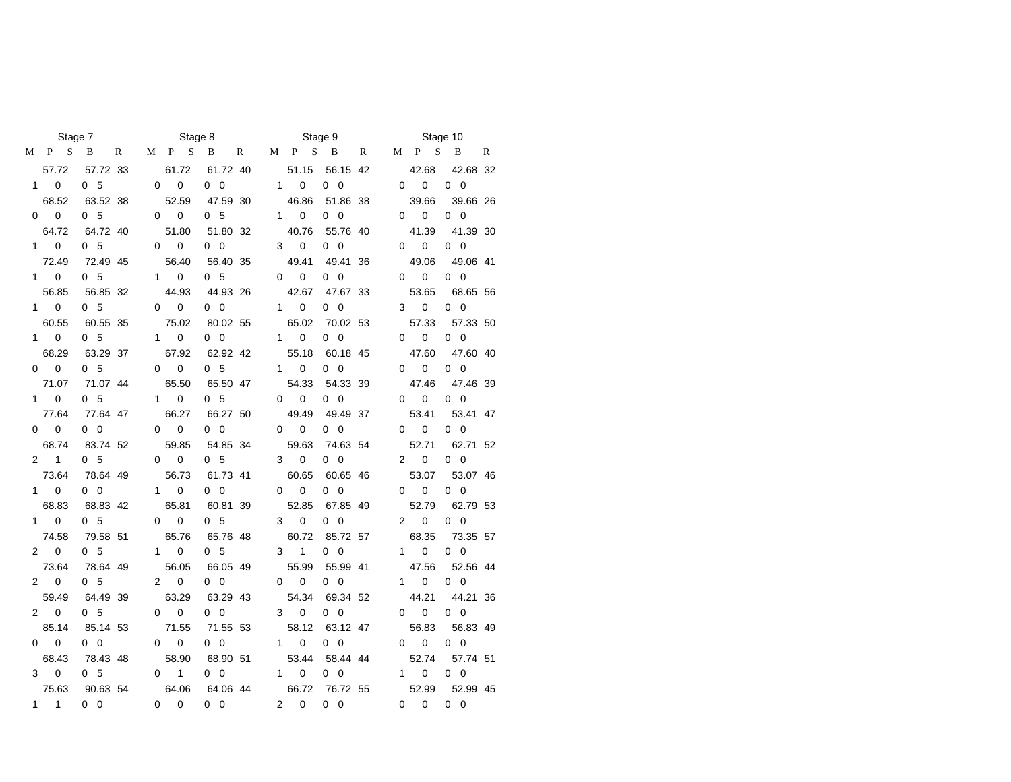|              | Stage 7                     |                        |   |             | Stage 8                  |                        |   |                |                           | Stage 9                |   |                |                   | Stage 10               |   |
|--------------|-----------------------------|------------------------|---|-------------|--------------------------|------------------------|---|----------------|---------------------------|------------------------|---|----------------|-------------------|------------------------|---|
| М            | S<br>P                      | B                      | R | M           | P S                      | B                      | R | М              | P S                       | $\overline{B}$         | R | М              | $\mathbf{P}$<br>S | B                      | R |
|              | 57.72                       | 57.72 33               |   |             | 61.72                    | 61.72 40               |   |                | 51.15                     | 56.15 42               |   |                | 42.68             | 42.68 32               |   |
|              | $\overline{0}$<br>$1 \quad$ | 0 <sub>5</sub>         |   | 0           | $\mathbf 0$              | $0\quad 0$             |   | $1 \quad$      | $\mathbf 0$               | $0\quad 0$             |   | 0              | $\mathbf 0$       | $0\quad 0$             |   |
|              | 68.52                       | 63.52 38               |   |             | 52.59                    | 47.59 30               |   |                | 46.86                     | 51.86 38               |   |                | 39.66             | 39.66 26               |   |
| 0            | $\overline{\mathbf{0}}$     | 0 <sub>5</sub>         |   | 0           | $\pmb{0}$                | 0 <sub>5</sub>         |   |                | $\mathsf{O}$<br>$1 \quad$ | $0\quad 0$             |   | 0              | $\pmb{0}$         | $0\quad 0$             |   |
|              | 64.72                       | 64.72 40               |   |             | 51.80                    | 51.80 32               |   |                | 40.76                     | 55.76 40               |   |                | 41.39             | 41.39 30               |   |
|              | $1 \quad 0$                 | 0 <sub>5</sub>         |   | 0           | $\mathbf 0$              | $0\quad 0$             |   | 3              | $\mathbf 0$               | $0\quad 0$             |   | $\Omega$       | $\mathbf 0$       | $0\quad 0$             |   |
|              | 72.49                       | 72.49 45               |   |             | 56.40                    | 56.40 35               |   |                | 49.41                     | 49.41 36               |   |                | 49.06             | 49.06 41               |   |
|              | $1 \quad 0$                 | 0 <sub>5</sub>         |   |             | $1 \quad 0$              | 0 <sub>5</sub>         |   | 0              | $\mathbf 0$               | $0\quad 0$             |   | $\Omega$       | 0                 | $0\quad 0$             |   |
|              | 56.85                       | 56.85 32               |   |             | 44.93                    | 44.93 26               |   |                | 42.67                     | 47.67 33               |   |                | 53.65             | 68.65 56               |   |
|              | $1 \quad 0$                 | 0 <sub>5</sub>         |   |             | $0\qquad 0$              | $0\quad 0$             |   |                | $1 \quad$<br>$\mathbf{0}$ | $0\quad 0$             |   | 3              | 0                 | $0\quad 0$             |   |
|              | 60.55                       | 60.55 35               |   |             | 75.02                    | 80.02 55               |   |                | 65.02                     | 70.02 53               |   |                | 57.33             | 57.33 50               |   |
|              | $1 \quad 0$                 | 0 <sub>5</sub>         |   |             | $\mathbf 0$<br>$1 \quad$ | $0\quad 0$             |   |                | $1 \quad 0$               | $0\quad 0$             |   | 0              | $\mathbf 0$       | $0\quad 0$             |   |
|              | 68.29                       | 63.29 37               |   |             | 67.92                    | 62.92 42               |   |                | 55.18                     | 60.18 45               |   |                | 47.60             | 47.60 40               |   |
|              | $0\qquad 0$                 | 0 <sub>5</sub>         |   | 0           | $\mathbf 0$              | 0 <sub>5</sub>         |   |                | $1 \quad$<br>0            | $0\quad 0$             |   | $\Omega$       | 0                 | $0\quad 0$             |   |
|              | 71.07                       | 71.07 44               |   |             | 65.50                    | 65.50 47               |   |                | 54.33                     | 54.33 39               |   |                | 47.46             | 47.46 39               |   |
|              | $\pmb{0}$<br>$1 \quad$      | 0 <sub>5</sub>         |   |             | $\pmb{0}$<br>$1 \quad$   | 0 <sub>5</sub>         |   | 0              | 0                         | $0\quad 0$             |   | 0              | 0                 | $0\quad 0$             |   |
|              | 77.64                       | 77.64 47               |   |             | 66.27                    | 66.27 50               |   |                | 49.49                     | 49.49 37               |   |                | 53.41             | 53.41 47               |   |
|              | $\mathbf 0$<br>$\Omega$     | $0\quad 0$             |   | 0           | $\mathbf 0$              | $0\quad 0$             |   | $\Omega$       | $\mathbf 0$               | $0\quad 0$             |   | 0              | $\pmb{0}$         | $0\quad 0$             |   |
|              | 68.74                       | 83.74 52               |   |             | 59.85                    | 54.85 34               |   |                | 59.63                     | 74.63 54               |   |                | 52.71             | 62.71 52               |   |
|              | $2 \quad 1$                 | 0 <sub>5</sub>         |   | 0           | $\mathbf 0$              | 0 <sub>5</sub>         |   | 3              | $\mathbf 0$               | $0\quad 0$             |   | $\overline{2}$ | $\pmb{0}$         | $0\quad 0$             |   |
|              | 73.64                       | 78.64 49               |   |             | 56.73                    | 61.73 41               |   |                | 60.65                     | 60.65 46               |   |                | 53.07             | 53.07 46               |   |
|              | $\mathbf 0$<br>$1 \quad$    | $0\quad 0$             |   | $\mathbf 1$ | $\mathbf 0$              | $0\quad 0$             |   | 0              | 0                         | $0\quad 0$             |   | 0              | 0                 | $0\quad 0$             |   |
|              | 68.83                       | 68.83 42               |   |             | 65.81                    | 60.81 39               |   |                | 52.85                     | 67.85 49               |   |                | 52.79             | 62.79 53               |   |
|              | $\mathbf 0$<br>$1 \quad$    | 0 <sub>5</sub>         |   | $\Omega$    | $\mathbf 0$              | 0 <sub>5</sub>         |   | 3              | $\mathbf 0$               | $0\quad 0$             |   | $\overline{2}$ | $\mathbf 0$       | $0\quad 0$             |   |
|              | 74.58                       | 79.58 51               |   |             | 65.76                    | 65.76 48               |   |                | 60.72                     | 85.72 57               |   |                | 68.35             | 73.35 57               |   |
|              | $2 \quad 0$                 | 0 <sub>5</sub>         |   |             | $1 \quad$<br>0           | 0 <sub>5</sub>         |   | 3              | $\mathbf{1}$              | $0\quad 0$             |   | $\mathbf{1}$   | 0                 | $0\quad 0$             |   |
|              | 73.64                       | 78.64 49               |   |             | 56.05                    | 66.05 49               |   |                | 55.99                     | 55.99 41               |   |                | 47.56             | 52.56 44               |   |
|              | $2 \quad 0$                 | 05                     |   | 2           | 0                        | $0\quad 0$             |   | 0              | 0                         | $0\quad 0$             |   | 1              | 0                 | $0\quad 0$             |   |
|              | 59.49                       | 64.49 39               |   |             | 63.29                    | 63.29 43               |   |                | 54.34                     | 69.34 52               |   |                | 44.21             | 44.21 36               |   |
|              | $2 \quad 0$                 | 0 <sub>5</sub>         |   | $\Omega$    | $\mathbf 0$              | $0\quad 0$             |   | 3              | $\mathbf 0$               | $0\quad 0$             |   | $\Omega$       | 0                 | $0\quad 0$             |   |
| 0            | 85.14<br>$\mathbf 0$        | 85.14 53<br>$0\quad 0$ |   |             | 71.55<br>$\mathbf 0$     | 71.55 53<br>$0\quad 0$ |   | $1 \quad$      | 58.12<br>0                | 63.12 47<br>$0\quad 0$ |   |                | 56.83<br>0        | 56.83 49<br>$0\quad 0$ |   |
|              | 68.43                       | 78.43 48               |   | 0           | 58.90                    | 68.90 51               |   |                | 53.44                     | 58.44 44               |   | 0              | 52.74             | 57.74 51               |   |
|              | 3<br>0                      | 0 <sub>5</sub>         |   | 0           | 1                        | $0\quad 0$             |   | $\mathbf{1}$   | 0                         | $0\quad 0$             |   | 1.             | 0                 | $0\quad 0$             |   |
|              | 75.63                       | 90.63 54               |   |             | 64.06                    | 64.06 44               |   |                | 66.72                     | 76.72 55               |   |                | 52.99             | 52.99 45               |   |
| $\mathbf{1}$ | 1                           | $0\quad 0$             |   | $\Omega$    | $\Omega$                 | $0\quad 0$             |   | $\overline{2}$ | $\Omega$                  | $0\quad 0$             |   | 0              | $\Omega$          | $0\quad 0$             |   |
|              |                             |                        |   |             |                          |                        |   |                |                           |                        |   |                |                   |                        |   |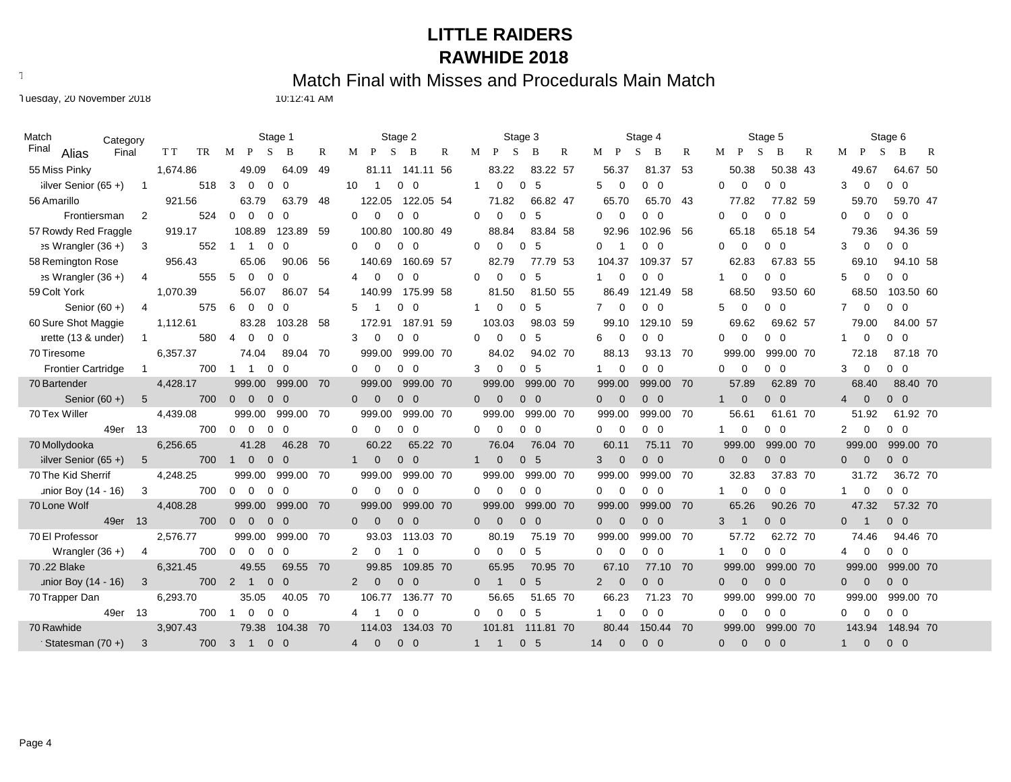Text497: Match Final with Misses and Procedurals Main Match

Tuesday, 20 November 2018 10:12:41 AM

| Match                         | Category                   |          | Stage 1                                                              | Stage 2                                                  | Stage 3                                            | Stage 4                                                      | Stage 5                                          | Stage 6                                                |
|-------------------------------|----------------------------|----------|----------------------------------------------------------------------|----------------------------------------------------------|----------------------------------------------------|--------------------------------------------------------------|--------------------------------------------------|--------------------------------------------------------|
| Final<br>Alias                | Final                      | T T      | TR M P<br>R<br>S<br>B                                                | M<br>P<br>S<br>R<br>B                                    | $M$ $P$<br>S<br>B<br>R                             | $M$ $P$<br>S<br>R<br>B                                       | M<br>P<br>S<br>R<br>B                            | $M$ $P$<br>S<br>B<br>R                                 |
| 55 Miss Pinky                 |                            | 1,674.86 | 49.09<br>64.09<br>49                                                 | 81.11<br>141.11 56                                       | 83.22<br>83.22 57                                  | 81.37<br>56.37<br>53                                         | 50.38<br>50.38 43                                | 49.67<br>64.67 50                                      |
| $i$ ilver Senior (65 +)       | $\overline{\phantom{0}}$ 1 | 518      | 3<br>$\overline{0}$<br>$\mathbf 0$<br>$\mathbf 0$                    | 10<br>$\overline{0}$<br>$\overline{1}$<br>$\mathbf{0}$   | $\mathbf{1}$<br>$\mathbf 0$<br>0 <sub>5</sub>      | 5<br>$\mathbf 0$<br>$\overline{0}$<br>$\mathbf 0$            | $\Omega$<br>$\Omega$<br>$0\quad 0$               | $\mathbf 0$<br>$0\quad 0$<br>3                         |
| 56 Amarillo                   |                            | 921.56   | 63.79<br>63.79 48                                                    | 122.05 54<br>122.05                                      | 71.82<br>66.82 47                                  | 65.70<br>65.70<br>43                                         | 77.82<br>77.82 59                                | 59.70<br>59.70 47                                      |
| Frontiersman                  | $\overline{2}$             | 524      | $\Omega$<br>$\overline{0}$<br>$\overline{0}$<br>0                    | $\Omega$<br>$0\quad 0$<br>0                              | 5<br>$\Omega$<br>$\mathbf 0$<br>$\mathbf 0$        | $\overline{0}$<br>$\overline{0}$<br>$\Omega$<br>$\Omega$     | $\mathbf 0$<br>$0\quad 0$<br>0                   | $\overline{0}$<br>0<br>$0\quad 0$                      |
| 57 Rowdy Red Fraggle          |                            | 919.17   | 108.89<br>123.89 59                                                  | 100.80<br>100.80 49                                      | 88.84<br>83.84 58                                  | 92.96<br>102.96<br>56                                        | 65.18<br>65.18 54                                | 79.36<br>94.36 59                                      |
| $\Rightarrow$ Wrangler (36 +) | $\overline{\mathbf{3}}$    | 552      | $\mathbf 0$<br>$\mathbf 0$<br>$\mathbf 1$<br>$\mathbf{1}$            | $\Omega$<br>$\mathbf 0$<br>$\mathbf 0$<br>$\overline{0}$ | $\mathbf 0$<br>$\mathbf 0$<br>$\mathbf{0}$<br>5    | $\mathbf 0$<br>$\mathbf{0}$<br>$\overline{0}$<br>-1          | 0<br>$\mathbf 0$<br>$0\quad 0$                   | $\mathbf 0$<br>3<br>$0\quad 0$                         |
| 58 Remington Rose             |                            | 956.43   | 65.06<br>90.06<br>-56                                                | 140.69<br>160.69 57                                      | 82.79<br>77.79 53                                  | 104.37<br>109.37<br>57                                       | 62.83<br>67.83 55                                | 69.10<br>94.10 58                                      |
| $\Rightarrow$ Wrangler (36 +) | $\overline{4}$             | 555      | 5<br>$\overline{0}$<br>$\mathbf 0$<br>0                              | $\Omega$<br>$0\quad 0$<br>4                              | $\Omega$<br>$\Omega$<br>$\overline{0}$<br>-5       | $\overline{0}$<br>$\overline{0}$<br>1<br>$\Omega$            | $0\quad 0$<br>0<br>-1                            | $\mathbf 0$<br>$0\quad 0$<br>5                         |
| 59 Colt York                  |                            | 1,070.39 | 86.07 54<br>56.07                                                    | 140.99<br>175.99 58                                      | 81.50 55<br>81.50                                  | 86.49<br>121.49<br>58                                        | 68.50<br>93.50 60                                | 68.50<br>103.50 60                                     |
| Senior $(60 +)$               | $\overline{4}$             | 575      | 6<br>$\Omega$<br>$\mathbf 0$<br>$\Omega$                             | $\overline{0}$<br>5<br>$\Omega$                          | $\mathbf 0$<br>5<br>$\mathbf 0$                    | $\mathbf{0}$<br>$\overline{0}$<br>$\overline{7}$<br>$\Omega$ | 5<br>$0\quad 0$<br>$\mathbf 0$                   | $\overline{0}$<br>$0\quad 0$<br>$\overline{7}$         |
| 60 Sure Shot Maggie           |                            | 1,112.61 | 83.28<br>103.28<br>- 58                                              | 172.91<br>187.91 59                                      | 103.03<br>98.03 59                                 | 99.10<br>129.10<br>59                                        | 69.62<br>69.62 57                                | 79.00<br>84.00 57                                      |
| arette (13 & under)           | $\overline{1}$             | 580      | $\Omega$<br>$\overline{0}$<br>4<br>$\Omega$                          | 3<br>$\Omega$<br>$0\quad 0$                              | $\mathbf 0$<br>$\mathbf 0$<br>0 <sub>5</sub>       | 6<br>$\overline{0}$<br>$\overline{0}$<br>0                   | 0<br>$\Omega$<br>$0\quad 0$                      | $0\quad 0$<br>0<br>$\mathbf{1}$                        |
| 70 Tiresome                   |                            | 6,357.37 | 74.04<br>89.04 70                                                    | 999.00<br>999.00 70                                      | 84.02<br>94.02 70                                  | 88.13<br>93.13<br>-70                                        | 999.00 70<br>999.00                              | 72.18<br>87.18 70                                      |
| <b>Frontier Cartridge</b>     | $\overline{1}$             | 700      | $\overline{0}$<br>$\mathbf{1}$<br>$\overline{1}$<br>$\mathbf{0}$     | $\Omega$<br>$\Omega$<br>$0\quad 0$                       | $\mathbf 0$<br>0 <sub>5</sub><br>3                 | $0\quad 0$<br>$\Omega$<br>1                                  | $0\quad 0$<br>0<br>$\overline{0}$                | $\overline{0}$<br>$0\quad 0$<br>3                      |
| 70 Bartender                  |                            | 4,428.17 | 999.00<br>999.00 70                                                  | 999.00<br>999.00 70                                      | 999.00 70<br>999.00                                | 999.00<br>999.00<br>70                                       | 57.89<br>62.89 70                                | 68.40<br>88.40 70                                      |
| Senior $(60 +)$               | $5\overline{)}$            | 700      | $\overline{\mathbf{0}}$<br>$0\quad 0$<br>$\overline{0}$              | $\overline{0}$<br>$\mathbf{0}$<br>$0\quad 0$             | $\overline{0}$<br>$0\quad 0$<br>$\Omega$           | $0\quad 0$<br>$\overline{0}$<br>$\overline{0}$               | $\overline{0}$<br>0 <sub>0</sub><br>$\mathbf{1}$ | $\mathbf 0$<br>$0\quad 0$<br>$\overline{4}$            |
| 70 Tex Willer                 |                            | 4,439.08 | 999.00 70<br>999.00                                                  | 999.00<br>999.00 70                                      | 999.00<br>999.00 70                                | 999.00<br>999.00<br>70                                       | 56.61<br>61.61 70                                | 51.92<br>61.92 70                                      |
|                               | 49er 13                    | 700      | $\Omega$<br>$\Omega$<br>$\Omega$<br>$\Omega$                         | $\Omega$<br>$\Omega$<br>$\Omega$<br>$\Omega$             | $\Omega$<br>0 <sub>0</sub><br>$\Omega$             | $\Omega$<br>$\Omega$<br>$\overline{0}$<br>$\Omega$           | $0\quad 0$<br>$\Omega$<br>$\overline{1}$         | $\overline{2}$<br>$\overline{0}$<br>0 <sub>0</sub>     |
| 70 Mollydooka                 |                            | 6,256.65 | 41.28<br>46.28 70                                                    | 60.22<br>65.22 70                                        | 76.04 70<br>76.04                                  | 60.11<br>75.11 70                                            | 999.00<br>999.00 70                              | 999.00<br>999.00 70                                    |
| $i$ ilver Senior (65+)        | $5\overline{)}$            | 700 1    | $\overline{0}$<br>$\overline{0}$<br>$\overline{0}$                   | $\mathbf{0}$<br>$\overline{0}$<br>$\overline{0}$<br>1    | $\overline{0}$<br>0 <sub>5</sub><br>1              | $\overline{0}$<br>$0\quad 0$<br>3                            | $\overline{0}$<br>$0\quad 0$<br>$\overline{0}$   | $0\quad 0$<br>$0\qquad 0$                              |
| 70 The Kid Sherrif            |                            | 4,248.25 | 999.00<br>999.00<br>70                                               | 999.00<br>999.00 70                                      | 999.00<br>999.00 70                                | 999.00<br>999.00<br>70                                       | 32.83<br>37.83 70                                | 31.72<br>36.72 70                                      |
| unior Boy (14 - 16)           | 3                          | 700      | $\overline{0}$<br>$\overline{0}$<br>$\overline{0}$<br>$\Omega$       | $\overline{0}$<br>$\Omega$<br>$0\quad 0$                 | $\mathbf 0$<br>$0\quad 0$<br>$\mathbf{0}$          | $0\quad 0$<br>$\Omega$<br>$\Omega$                           | $\Omega$<br>$0\quad 0$<br>$\overline{1}$         | 0<br>$0\quad 0$                                        |
| 70 Lone Wolf                  |                            | 4,408.28 | 999.00<br>999.00 70                                                  | 999.00<br>999.00 70                                      | 999.00<br>999.00 70                                | 999.00<br>999.00<br>70                                       | 65.26<br>90.26 70                                | 47.32<br>57.32 70                                      |
|                               | 49er 13                    | 700      | $\overline{0}$<br>$\overline{0}$<br>$\overline{0}$<br>$\overline{0}$ | $\overline{0}$<br>$\Omega$<br>$0\quad 0$                 | $\overline{0}$<br>$0\quad 0$<br>$\mathbf{0}$       | $0\quad 0$<br>$\overline{0}$<br>$\overline{0}$               | $0\quad 0$<br>3<br>$\overline{1}$                | $0\quad 0$<br>$\overline{0}$<br>$\overline{1}$         |
| 70 El Professor               |                            | 2,576.77 | 999.00<br>999.00 70                                                  | 93.03<br>113.03 70                                       | 75.19 70<br>80.19                                  | 999.00<br>999.00<br>70                                       | 57.72<br>62.72 70                                | 74.46<br>94.46 70                                      |
| Wrangler $(36 +)$             | $\overline{4}$             | 700      | $\Omega$<br>$\overline{0}$<br>$\mathbf 0$<br>$\overline{0}$          | $\overline{2}$<br>0<br>$\overline{0}$<br>$\mathbf{1}$    | 5<br>$\mathbf 0$<br>$\mathbf 0$<br>$\overline{0}$  | $\mathbf 0$<br>$0\quad 0$<br>0                               | $0\quad 0$<br>$\mathbf 0$<br>$\mathbf{1}$        | $\mathbf 0$<br>$0\quad 0$<br>4                         |
| 70.22 Blake                   |                            | 6,321.45 | 49.55<br>69.55 70                                                    | 109.85 70<br>99.85                                       | 70.95 70<br>65.95                                  | 67.10<br>77.10<br>70                                         | 999.00<br>999.00 70                              | 999.00<br>999.00 70                                    |
| unior Boy (14 - 16)           | $\mathbf{3}$               |          | 700 2 1<br>$\overline{0}$<br>$\overline{0}$                          | $\overline{2}$<br>$0\quad 0$<br>$\mathbf{0}$             | 0 <sub>5</sub><br>$\overline{0}$<br>$\overline{1}$ | $0\quad 0$<br>$\overline{2}$<br>$\overline{0}$               | $0\quad 0$<br>$\overline{0}$<br>$\overline{0}$   | $0\qquad 0$<br>$0\quad 0$                              |
| 70 Trapper Dan                |                            | 6,293.70 | 35.05<br>40.05 70                                                    | 136.77 70<br>106.77                                      | 56.65<br>51.65 70                                  | 66.23<br>71.23<br>70                                         | 999.00<br>999.00 70                              | 999.00<br>999.00 70                                    |
|                               | 49er 13                    | 700      | $\overline{0}$<br>$\Omega$<br>$\overline{0}$<br>$\mathbf{1}$         | $0\quad 0$<br>4 1                                        | $\overline{0}$<br>0 <sub>5</sub><br>$\Omega$       | $\overline{\mathbf{0}}$<br>$0\quad 0$                        | $\overline{0}$<br>$\overline{0}$<br>$0\quad 0$   | $\overline{\phantom{0}}$<br>$0\quad 0$<br>$\mathbf{0}$ |
| 70 Rawhide                    |                            | 3,907.43 | 79.38<br>104.38 70                                                   | 114.03<br>134.03 70                                      | 101.81<br>111.81 70                                | 150.44<br>80.44<br>70                                        | 999.00<br>999.00 70                              | 143.94<br>148.94 70                                    |
| Statesman $(70 +)$            | 3                          | 700      | $3 \quad 1$<br>$0\quad 0$                                            | $\Omega$<br>$0\quad 0$<br>$\overline{4}$                 | 0 <sub>5</sub><br>$\mathbf{1}$<br>$\blacksquare$   | 14<br>$\Omega$<br>$0\quad 0$                                 | $\Omega$<br>$\overline{0}$<br>$0\quad 0$         | $\overline{0}$<br>$0\quad 0$<br>$\mathbf{1}$           |